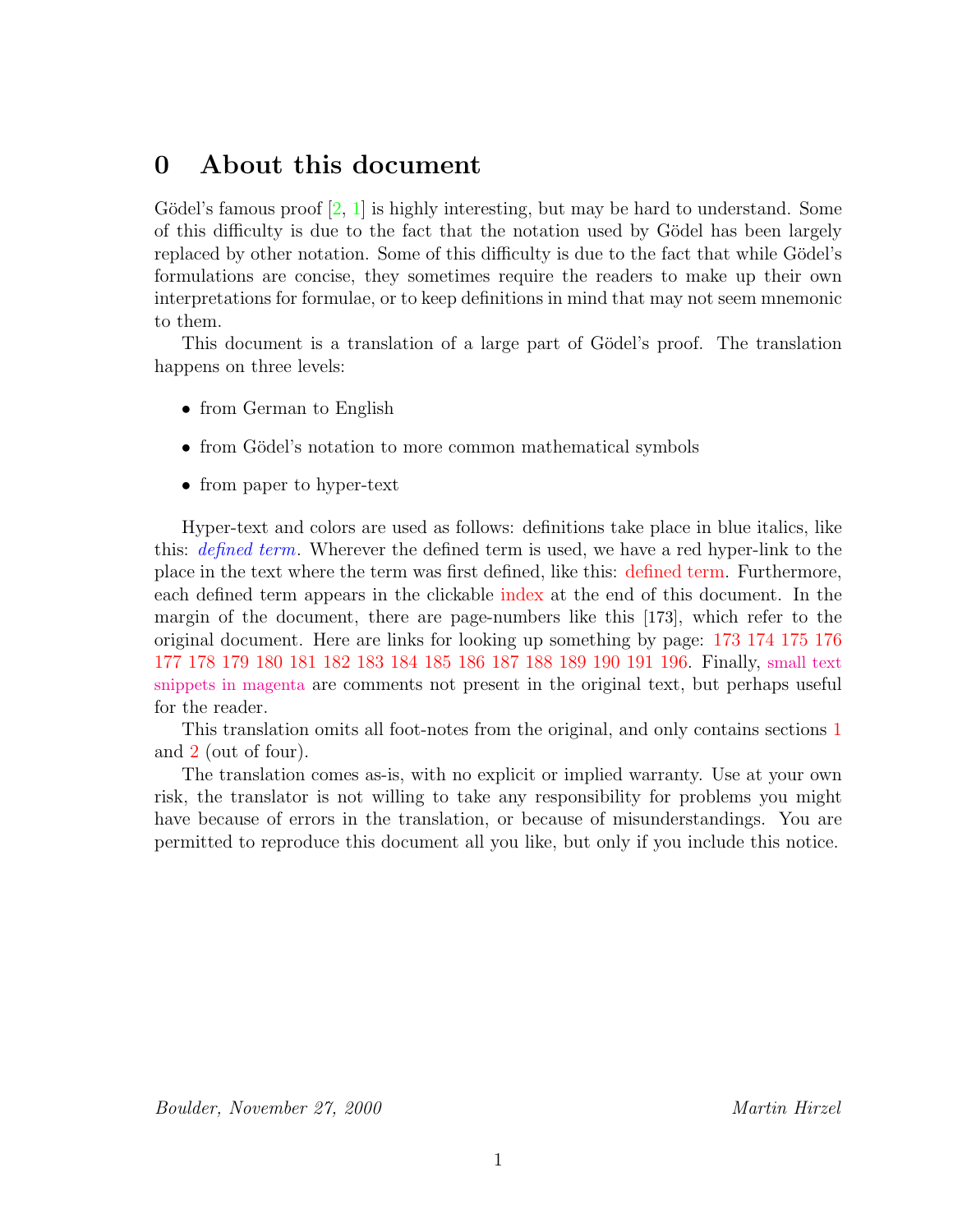### <span id="page-0-1"></span>0 About this document

Gödel'sfamous proof  $[2, 1]$  $[2, 1]$  $[2, 1]$  $[2, 1]$  $[2, 1]$  is highly interesting, but may be hard to understand. Some of this difficulty is due to the fact that the notation used by Gödel has been largely replaced by other notation. Some of this difficulty is due to the fact that while Gödel's formulations are concise, they sometimes require the readers to make up their own interpretations for formulae, or to keep definitions in mind that may not seem mnemonic to them.

This document is a translation of a large part of Gödel's proof. The translation happens on three levels:

- from German to English
- from Gödel's notation to more common mathematical symbols
- from paper to hyper-text

<span id="page-0-0"></span>Hyper-text and colors are used as follows: definitions take place in blue italics, like this: *defined term*. Wherever the defined term is used, we have a red hyper-link to the place in the text where the term was first defined, like this: [defined term.](#page-0-0) Furthermore, each defined term appears in the clickable [index](#page-21-0) at the end of this document. In the margin of the document, there are page-numbers like this [173], which refer to the original document. Here are links for looking up something by page: [173](#page-1-0) [174](#page-1-1) [175](#page-2-0) [176](#page-2-1) [177](#page-3-0) [178](#page-4-0) [179](#page-5-0) [180](#page-6-0) [181](#page-7-0) [182](#page-8-0) [183](#page-9-0) [184](#page-10-0) [185](#page-11-0) [186](#page-12-0) [187](#page-13-0) [188](#page-14-0) [189](#page-15-0) [190](#page-16-0) [191](#page-17-0) [196.](#page-17-1) Finally, small text snippets in magenta are comments not present in the original text, but perhaps useful for the reader.

This translation omits all foot-notes from the original, and only contains sections [1](#page-1-2) and [2](#page-3-1) (out of four).

The translation comes as-is, with no explicit or implied warranty. Use at your own risk, the translator is not willing to take any responsibility for problems you might have because of errors in the translation, or because of misunderstandings. You are permitted to reproduce this document all you like, but only if you include this notice.

Boulder, November 27, 2000 Martin Hirzel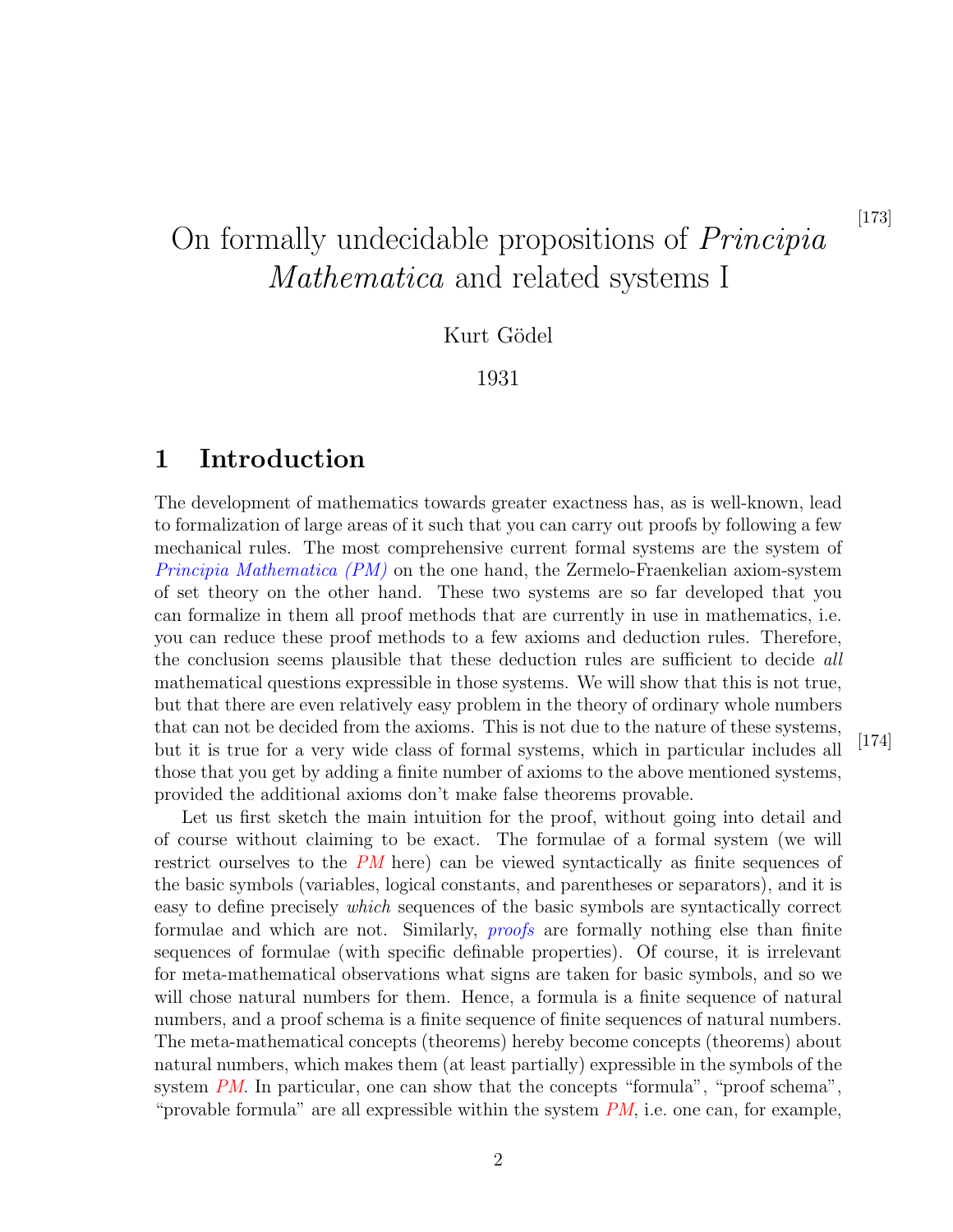# <span id="page-1-5"></span>On formally undecidable propositions of Principia Mathematica and related systems I

Kurt Gödel

<span id="page-1-1"></span><span id="page-1-0"></span>1931

### <span id="page-1-2"></span>1 Introduction

<span id="page-1-3"></span>The development of mathematics towards greater exactness has, as is well-known, lead to formalization of large areas of it such that you can carry out proofs by following a few mechanical rules. The most comprehensive current formal systems are the system of Principia Mathematica (PM) on the one hand, the Zermelo-Fraenkelian axiom-system of set theory on the other hand. These two systems are so far developed that you can formalize in them all proof methods that are currently in use in mathematics, i.e. you can reduce these proof methods to a few axioms and deduction rules. Therefore, the conclusion seems plausible that these deduction rules are sufficient to decide all mathematical questions expressible in those systems. We will show that this is not true, but that there are even relatively easy problem in the theory of ordinary whole numbers that can not be decided from the axioms. This is not due to the nature of these systems, but it is true for a very wide class of formal systems, which in particular includes all [174] those that you get by adding a finite number of axioms to the above mentioned systems, provided the additional axioms don't make false theorems provable.

<span id="page-1-4"></span>Let us first sketch the main intuition for the proof, without going into detail and of course without claiming to be exact. The formulae of a formal system (we will restrict ourselves to the [PM](#page-1-3) here) can be viewed syntactically as finite sequences of the basic symbols (variables, logical constants, and parentheses or separators), and it is easy to define precisely which sequences of the basic symbols are syntactically correct formulae and which are not. Similarly, proofs are formally nothing else than finite sequences of formulae (with specific definable properties). Of course, it is irrelevant for meta-mathematical observations what signs are taken for basic symbols, and so we will chose natural numbers for them. Hence, a formula is a finite sequence of natural numbers, and a proof schema is a finite sequence of finite sequences of natural numbers. The meta-mathematical concepts (theorems) hereby become concepts (theorems) about natural numbers, which makes them (at least partially) expressible in the symbols of the system [PM](#page-1-3). In particular, one can show that the concepts "formula", "proof schema", "provable formula" are all expressible within the system  $PM$ , i.e. one can, for example,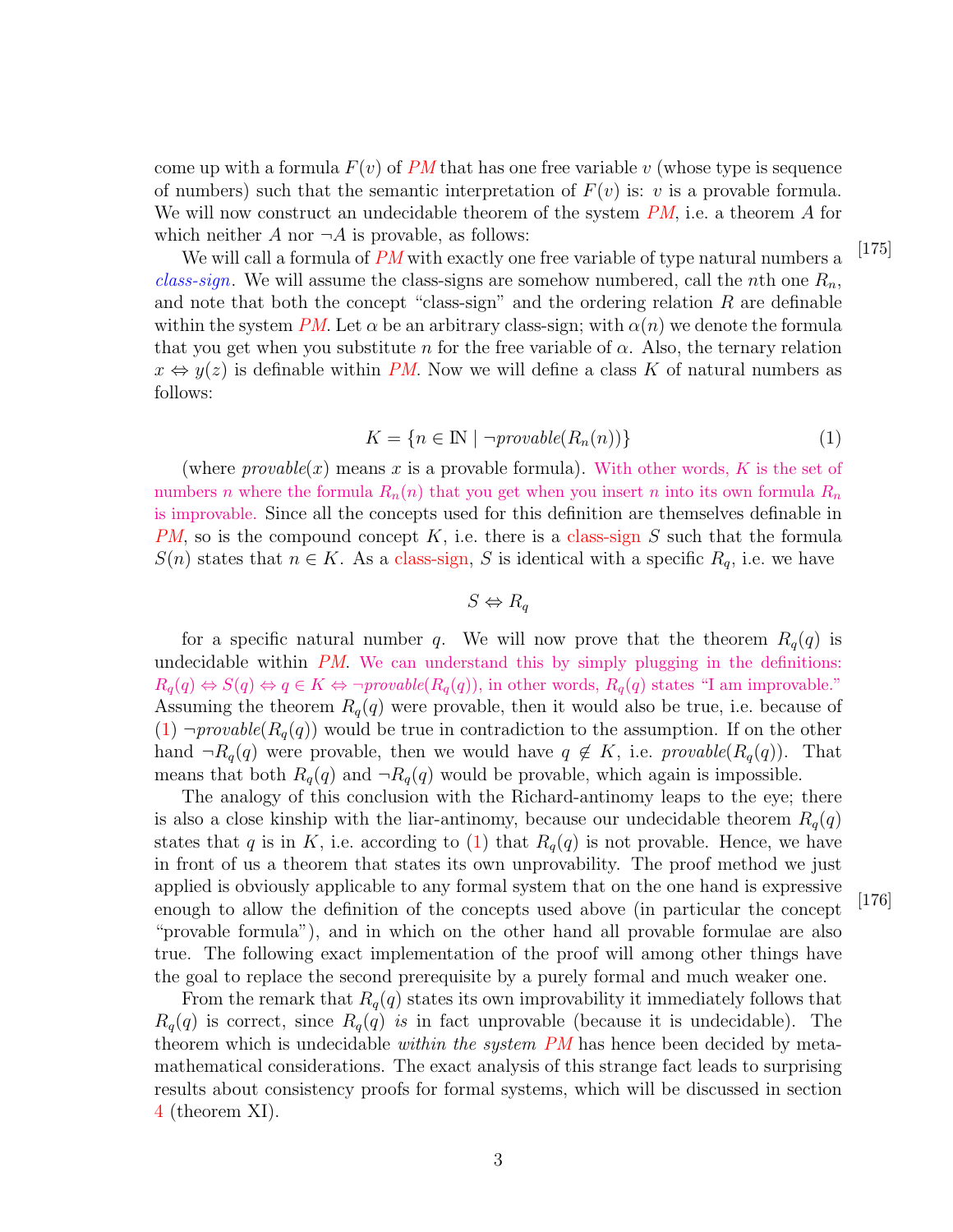<span id="page-2-4"></span>come up with a formula  $F(v)$  of [PM](#page-1-3) that has one free variable v (whose type is sequence of numbers) such that the semantic interpretation of  $F(v)$  is: v is a provable formula. We will now construct an undecidable theorem of the system  $PM$ , i.e. a theorem A for which neither A nor  $\neg A$  is provable, as follows:

<span id="page-2-2"></span>We will call a formula of [PM](#page-1-3) with exactly one free variable of type natural numbers a  $\left[175\right]$ *class-sign*. We will assume the class-signs are somehow numbered, call the nth one  $R_n$ , and note that both the concept "class-sign" and the ordering relation  $R$  are definable within the system [PM](#page-1-3). Let  $\alpha$  be an arbitrary class-sign; with  $\alpha(n)$  we denote the formula that you get when you substitute n for the free variable of  $\alpha$ . Also, the ternary relation  $x \Leftrightarrow y(z)$  is definable within [PM](#page-1-3). Now we will define a class K of natural numbers as follows:

<span id="page-2-3"></span>
$$
K = \{ n \in \mathbb{N} \mid \neg provable(R_n(n)) \}
$$
 (1)

(where  $\textit{provable}(x)$  means x is a provable formula). With other words, K is the set of numbers *n* where the formula  $R_n(n)$  that you get when you insert *n* into its own formula  $R_n$ is improvable. Since all the concepts used for this definition are themselves definable in  $PM$ , so is the compound concept K, i.e. there is a [class-sign](#page-2-2) S such that the formula  $S(n)$  states that  $n \in K$ . As a [class-sign](#page-2-2), S is identical with a specific  $R_q$ , i.e. we have

<span id="page-2-0"></span> $S \Leftrightarrow R_q$ 

for a specific natural number q. We will now prove that the theorem  $R_q(q)$  is undecidable within  $PM$ . We can understand this by simply plugging in the definitions:  $R_q(q) \Leftrightarrow S(q) \Leftrightarrow q \in K \Leftrightarrow \neg provable(R_q(q)),$  in other words,  $R_q(q)$  states "I am improvable." Assuming the theorem  $R_q(q)$  were provable, then it would also be true, i.e. because of  $(1)$  $(1)$   $\neg provable(R_q(q))$  would be true in contradiction to the assumption. If on the other hand  $\neg R_q(q)$  were provable, then we would have  $q \notin K$ , i.e. provable $(R_q(q))$ . That means that both  $R_q(q)$  and  $\neg R_q(q)$  would be provable, which again is impossible.

The analogy of this conclusion with the Richard-antinomy leaps to the eye; there is also a close kinship with the liar-antinomy, because our undecidable theorem  $R_q(q)$ statesthat q is in K, i.e. according to ([1\)](#page-2-3) that  $R_q(q)$  is not provable. Hence, we have in front of us a theorem that states its own unprovability. The proof method we just applied is obviously applicable to any formal system that on the one hand is expressive enough to allow the definition of the concepts used above (in particular the concept  $[176]$ "provable formula"), and in which on the other hand all provable formulae are also true. The following exact implementation of the proof will among other things have the goal to replace the second prerequisite by a purely formal and much weaker one.

From the remark that  $R_q(q)$  states its own improvability it immediately follows that  $R_q(q)$  is correct, since  $R_q(q)$  is in fact unprovable (because it is undecidable). The theorem which is undecidable *within the system [PM](#page-1-3)* has hence been decided by metamathematical considerations. The exact analysis of this strange fact leads to surprising results about consistency proofs for formal systems, which will be discussed in section [4](#page-17-2) (theorem XI).

<span id="page-2-1"></span>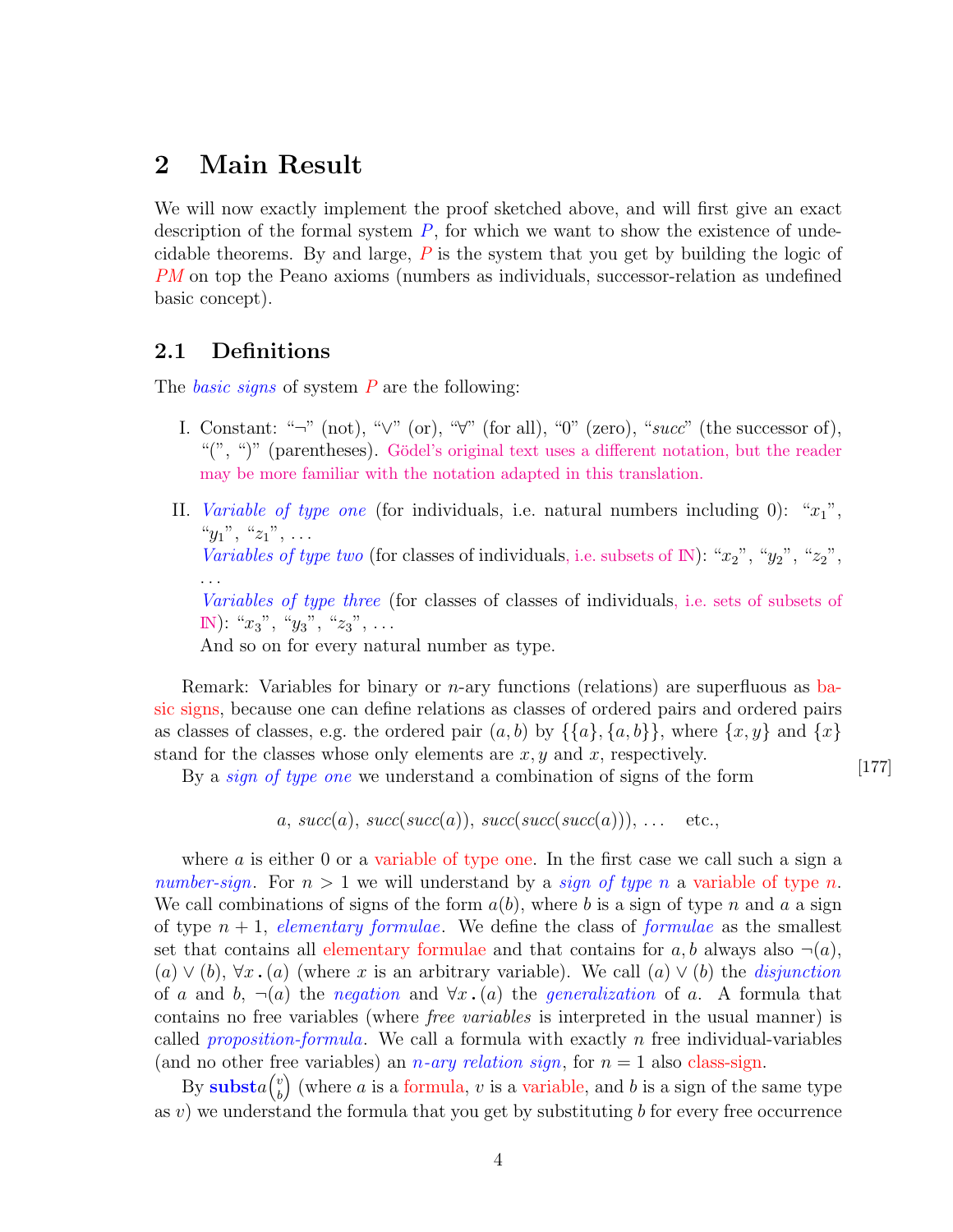### <span id="page-3-17"></span><span id="page-3-1"></span>2 Main Result

<span id="page-3-2"></span>We will now exactly implement the proof sketched above, and will first give an exact description of the formal system  $P$ , for which we want to show the existence of undecidable theorems. By and large,  $P$  is the system that you get by building the logic of [PM](#page-1-3) on top the Peano axioms (numbers as individuals, successor-relation as undefined basic concept).

#### 2.1 Definitions

The *basic signs* of system  $P$  are the following:

- <span id="page-3-8"></span>I. Constant: "¬" (not), " $\vee$ " (or), " $\nabla$ " (for all), " $0$ " (zero), "succ" (the successor of), " $("," "")"$  (parentheses). Gödel's original text uses a different notation, but the reader may be more familiar with the notation adapted in this translation.
- <span id="page-3-6"></span><span id="page-3-3"></span>II. Variable of type one (for individuals, i.e. natural numbers including 0): " $x_1$ ",  $"y_1", "z_1", \ldots$ Variables of type two (for classes of individuals, i.e. subsets of  $\mathbb{N}$ ): " $x_2$ ", " $y_2$ ", " $z_2$ ", . . . Variables of type three (for classes of classes of individuals, i.e. sets of subsets of IN): " $x_3$ ", " $y_3$ ", " $z_3$ ", ... And so on for every natural number as type.

<span id="page-3-4"></span>Remark: Variables for binary or n-ary functions (relations) are superfluous as basic signs, because one can define relations as classes of ordered pairs and ordered pairs as classes of classes, e.g. the ordered pair  $(a, b)$  by  $\{\{a\}, \{a, b\}\}\,$ , where  $\{x, y\}$  and  $\{x\}$ stand for the classes whose only elements are  $x, y$  and  $x$ , respectively.

<span id="page-3-14"></span> $[177]$  By a *sign of type one* we understand a combination of signs of the form  $[177]$ 

```
a, succ(a), succ(succ(a)), succ(succ(succ(a))), \ldots etc.,
```
<span id="page-3-13"></span>where  $\alpha$  is either 0 or a [variable of type one](#page-3-3). In the first case we call such a sign a number-sign. For  $n > 1$  we will understand by a sign of type n a [variable of type](#page-3-4) n. We call combinations of signs of the form  $a(b)$ , where b is a sign of type n and a a sign of type  $n + 1$ , *elementary formulae*. We define the class of *formulae* as the smallest set that contains all elementary formulae and that contains for a, b always also  $\neg(a)$ ,  $(a) \vee (b)$ ,  $\forall x \cdot (a)$  (where x is an arbitrary variable). We call  $(a) \vee (b)$  the *disjunction* of a and b,  $\neg(a)$  the negation and  $\forall x \cdot (a)$  the generalization of a. A formula that contains no free variables (where free variables is interpreted in the usual manner) is called *proposition-formula*. We call a formula with exactly n free individual-variables (and no other free variables) an *n*-ary relation sign, for  $n = 1$  also [class-sign.](#page-2-2)

<span id="page-3-10"></span><span id="page-3-9"></span><span id="page-3-7"></span>By substa $\binom{v}{b}$  $\binom{v}{b}$  (where a is a [formula,](#page-3-5) v is a [variable](#page-3-6), and b is a sign of the same type as  $v$ ) we understand the formula that you get by substituting  $b$  for every free occurrence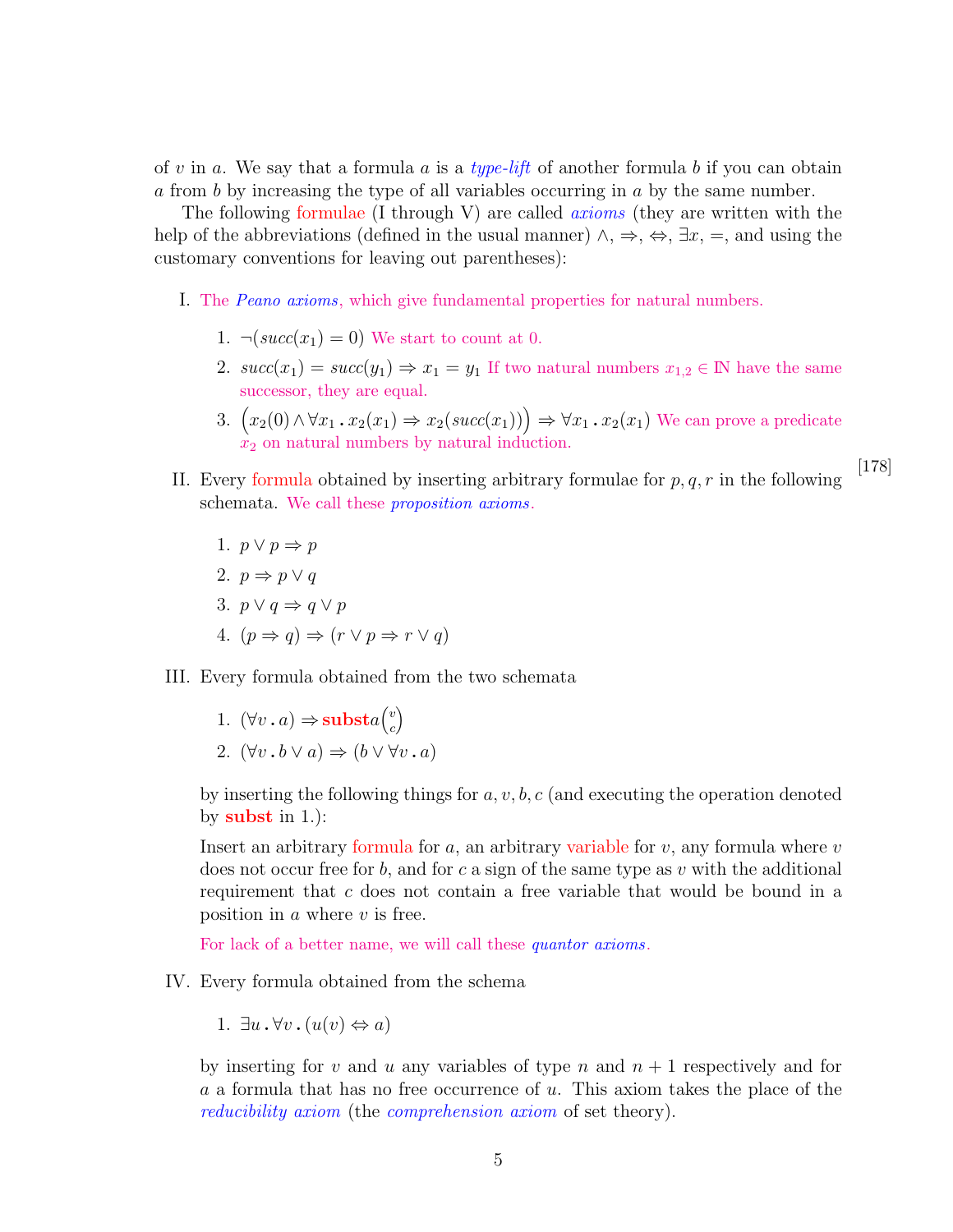<span id="page-4-7"></span>of v in a. We say that a formula a is a type-lift of another formula b if you can obtain a from b by increasing the type of all variables occurring in a by the same number.

The following [formulae](#page-3-5) (I through V) are called *axioms* (they are written with the help of the abbreviations (defined in the usual manner)  $\wedge$ ,  $\Rightarrow$ ,  $\Leftrightarrow$ ,  $\exists x$ ,  $=$ , and using the customary conventions for leaving out parentheses):

- <span id="page-4-3"></span><span id="page-4-1"></span>I. The Peano axioms, which give fundamental properties for natural numbers.
	- 1.  $\neg(succ(x_1) = 0)$  We start to count at 0.
	- 2.  $succ(x_1) = succ(y_1) \Rightarrow x_1 = y_1$  If two natural numbers  $x_{1,2} \in \mathbb{N}$  have the same successor, they are equal.
	- 3.  $(x_2(0) \wedge \forall x_1 \cdot x_2(x_1) \Rightarrow x_2(succ(x_1)) \Rightarrow \forall x_1 \cdot x_2(x_1)$  We can prove a predicate  $x_2$  on natural numbers by natural induction.
- <span id="page-4-2"></span><span id="page-4-0"></span>[178]
- <span id="page-4-4"></span>II. Every [formula](#page-3-5) obtained by inserting arbitrary formulae for  $p, q, r$  in the following schemata. We call these *proposition axioms*.
	- 1.  $p \vee p \Rightarrow p$
	- 2.  $p \Rightarrow p \vee q$
	- 3.  $p \lor q \Rightarrow q \lor p$
	- 4.  $(p \Rightarrow q) \Rightarrow (r \vee p \Rightarrow r \vee q)$
- III. Every formula obtained from the two schemata
	- 1.  $(\forall v \cdot a) \Rightarrow \textbf{substa} \begin{pmatrix} v \\ c \end{pmatrix}$  $(\forall v \cdot a) \Rightarrow \textbf{substa} \begin{pmatrix} v \\ c \end{pmatrix}$  $(\forall v \cdot a) \Rightarrow \textbf{substa} \begin{pmatrix} v \\ c \end{pmatrix}$  $\binom{v}{c}$ 2.  $(\forall v \cdot b \lor a) \Rightarrow (b \lor \forall v \cdot a)$

by inserting the following things for  $a, v, b, c$  (and executing the operation denoted by [subst](#page-3-7) in  $1$ .):

Insert an arbitrary [formula](#page-3-5) for  $a$ , an arbitrary [variable](#page-3-6) for  $v$ , any formula where  $v$ does not occur free for b, and for c a sign of the same type as v with the additional requirement that c does not contain a free variable that would be bound in a position in  $\alpha$  where  $\nu$  is free.

<span id="page-4-5"></span>For lack of a better name, we will call these *quantor axioms*.

- IV. Every formula obtained from the schema
	- 1.  $\exists u \cdot \forall v \cdot (u(v) \Leftrightarrow a)$

<span id="page-4-6"></span>by inserting for v and u any variables of type n and  $n + 1$  respectively and for a a formula that has no free occurrence of u. This axiom takes the place of the reducibility axiom (the comprehension axiom of set theory).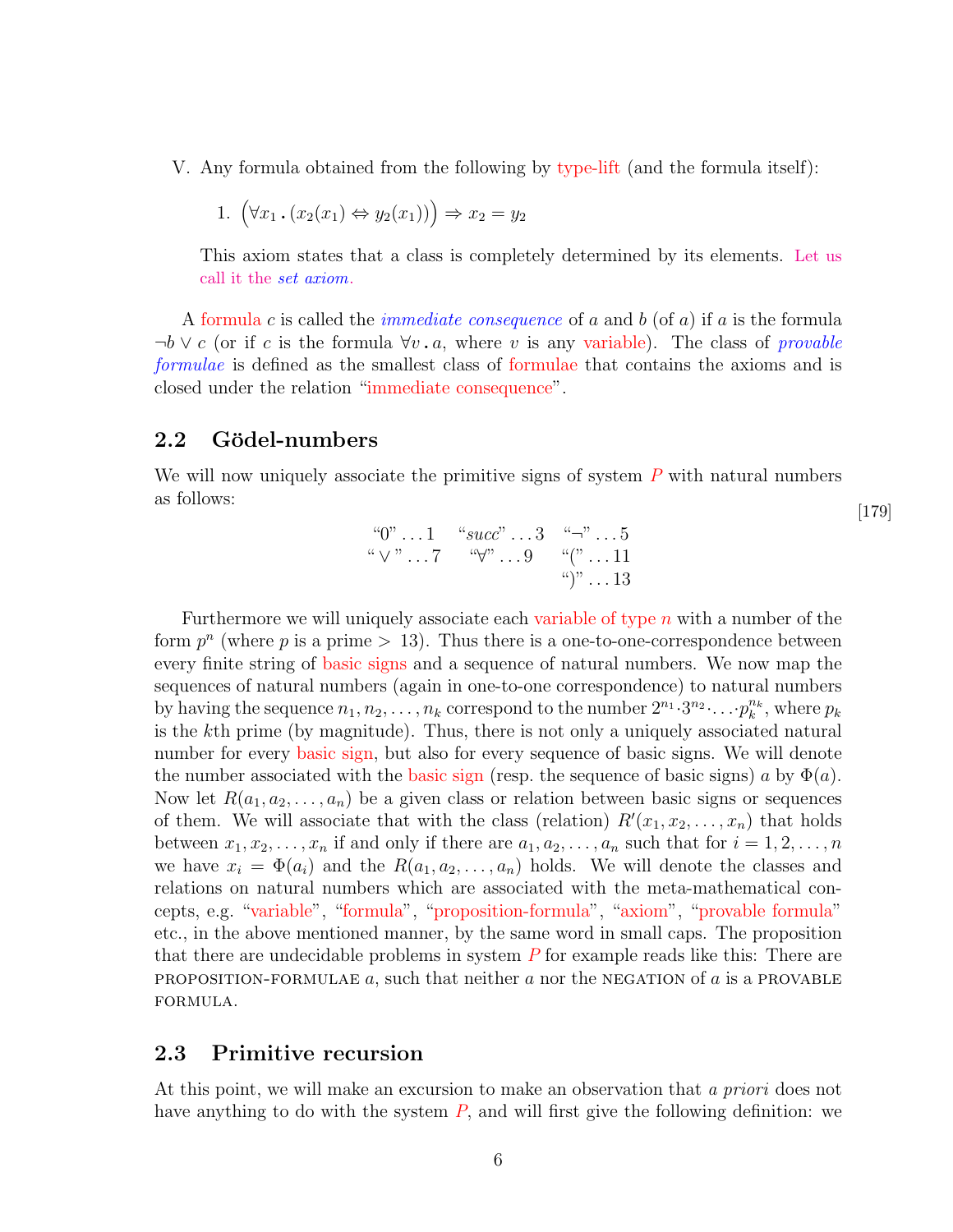<span id="page-5-4"></span>V. Any formula obtained from the following by [type-lift](#page-4-1) (and the formula itself):

1. 
$$
(\forall x_1 \cdot (x_2(x_1) \Leftrightarrow y_2(x_1)) \Rightarrow x_2 = y_2
$$

<span id="page-5-3"></span><span id="page-5-1"></span>This axiom states that a class is completely determined by its elements. Let us call it the set axiom.

A [formula](#page-3-5) c is called the *immediate consequence* of a and b (of a) if a is the formula  $\neg b \lor c$  (or if c is the formula  $\forall v \cdot a$ , where v is any [variable\)](#page-3-6). The class of provable formulae is defined as the smallest class of [formula](#page-3-5)e that contains the axioms and is closed under the relation"[immediate consequence](#page-5-1)".

#### 2.2 Gödel-numbers

We will now uniquely associate the primitive signs of system  $P$  with natural numbers as follows: [179]

<span id="page-5-2"></span><span id="page-5-0"></span>
$$
\begin{array}{cccc}\n\text{``0''} \dots 1 & \text{``succ''} \dots 3 & \text{``-''} \dots 5 \\
\text{``v''} \dots 7 & \text{``v''} \dots 9 & \text{``(''} \dots 11 \\
\text{``v''} \dots 13 & \text{``v''} \dots 13\n\end{array}
$$

Furthermore we will uniquely associate each [variable of type](#page-3-4)  $n$  with a number of the form  $p^{n}$  (where p is a prime  $> 13$ ). Thus there is a one-to-one-correspondence between every finite string of basic signs and a sequence of natural numbers. We now map the sequences of natural numbers (again in one-to-one correspondence) to natural numbers by having the sequence  $n_1, n_2, \ldots, n_k$  correspond to the number  $2^{n_1} \cdot 3^{n_2} \cdot \ldots \cdot p_k^{n_k}$ , where  $p_k$ is the kth prime (by magnitude). Thus, there is not only a uniquely associated natural number for every [basic sign](#page-3-8), but also for every sequence of basic signs. We will denote the number associated with the [basic sign](#page-3-8) (resp. the sequence of basic signs) a by  $\Phi(a)$ . Now let  $R(a_1, a_2, \ldots, a_n)$  be a given class or relation between basic signs or sequences of them. We will associate that with the class (relation)  $R'(x_1, x_2, \ldots, x_n)$  that holds between  $x_1, x_2, \ldots, x_n$  if and only if there are  $a_1, a_2, \ldots, a_n$  such that for  $i = 1, 2, \ldots, n$ we have  $x_i = \Phi(a_i)$  and the  $R(a_1, a_2, \ldots, a_n)$  holds. We will denote the classes and relations on natural numbers which are associated with the meta-mathematical concepts, e.g."[variable"](#page-3-6), ["formula](#page-3-5)","[proposition-formula](#page-3-9)","[axiom"](#page-4-2),"[provable](#page-5-2) formula" etc., in the above mentioned manner, by the same word in small caps. The proposition that there are undecidable problems in system  $P$  for example reads like this: There are PROPOSITION-FORMULAE  $a$ , such that neither  $a$  nor the NEGATION of  $a$  is a PROVABLE FORMULA.

#### 2.3 Primitive recursion

At this point, we will make an excursion to make an observation that a priori does not have anything to do with the system  $P$ , and will first give the following definition: we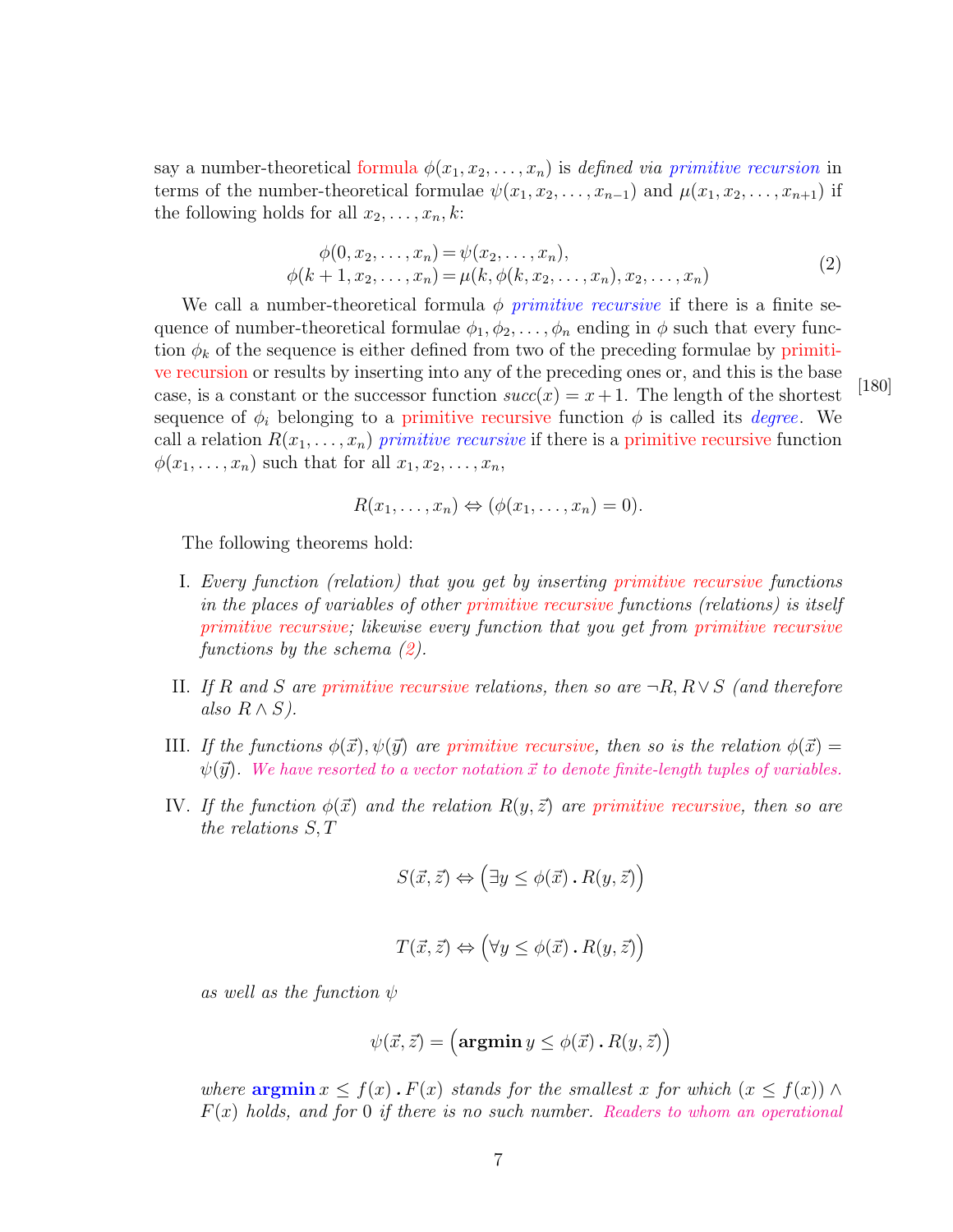<span id="page-6-10"></span>say a number-theoretical [formula](#page-3-5)  $\phi(x_1, x_2, \ldots, x_n)$  is defined via primitive recursion in terms of the number-theoretical formulae  $\psi(x_1, x_2, \ldots, x_{n-1})$  and  $\mu(x_1, x_2, \ldots, x_{n+1})$  if the following holds for all  $x_2, \ldots, x_n, k$ :

<span id="page-6-3"></span><span id="page-6-2"></span>
$$
\phi(0, x_2, \dots, x_n) = \psi(x_2, \dots, x_n), \n\phi(k+1, x_2, \dots, x_n) = \mu(k, \phi(k, x_2, \dots, x_n), x_2, \dots, x_n)
$$
\n(2)

We call a number-theoretical formula  $\phi$  *primitive recursive* if there is a finite sequence of number-theoretical formulae  $\phi_1, \phi_2, \ldots, \phi_n$  ending in  $\phi$  such that every function  $\phi_k$  of the sequence is either defined from two of the preceding formulae by [primiti](#page-6-1)[ve recursion](#page-6-1) or results by inserting into any of the preceding ones or, and this is the base case, is a constant or the successor function  $succ(x) = x + 1$ . The length of the shortest [180] sequence of  $\phi_i$  belonging to a [primitive recursive](#page-6-2) function  $\phi$  is called its *degree*. We call a relation  $R(x_1, \ldots, x_n)$  primitive recursive if there is a primitive recursive function  $\phi(x_1, \ldots, x_n)$  such that for all  $x_1, x_2, \ldots, x_n$ ,

$$
R(x_1,\ldots,x_n)\Leftrightarrow(\phi(x_1,\ldots,x_n)=0).
$$

The following theorems hold:

- <span id="page-6-4"></span>I. Every function (relation) that you get by inserting [primitive recursive](#page-6-2) functions in the places of variables of other [primitive recursive](#page-6-2) functions (relations) is itself [primitive recursive;](#page-6-2) likewise every function that you get from [primitive recursive](#page-6-2) functions by the schema([2\)](#page-6-3).
- <span id="page-6-5"></span>II. If R and S are [primitive recursive](#page-6-2) relations, then so are  $\neg R$ ,  $R \vee S$  (and therefore also  $R \wedge S$ ).
- <span id="page-6-6"></span>III. If the functions  $\phi(\vec{x}), \psi(\vec{y})$  are [primitive recursive,](#page-6-2) then so is the relation  $\phi(\vec{x}) =$  $\psi(\vec{y})$ . We have resorted to a vector notation  $\vec{x}$  to denote finite-length tuples of variables.
- <span id="page-6-7"></span>IV. If the function  $\phi(\vec{x})$  and the relation  $R(y, \vec{z})$  are [primitive recursive,](#page-6-2) then so are the relations S, T

$$
S(\vec{x}, \vec{z}) \Leftrightarrow \left(\exists y \le \phi(\vec{x}) \cdot R(y, \vec{z})\right)
$$

$$
T(\vec{x}, \vec{z}) \Leftrightarrow (\forall y \le \phi(\vec{x}) \cdot R(y, \vec{z}))
$$

as well as the function  $\psi$ 

$$
\psi(\vec{x}, \vec{z}) = \left(\mathop{\mathbf{argmin}}\nolimits y \le \phi(\vec{x}) \cdot R(y, \vec{z})\right)
$$

<span id="page-6-8"></span>where  $\argmin x \leq f(x)$ .  $F(x)$  stands for the smallest x for which  $(x \leq f(x))$   $\wedge$  $F(x)$  holds, and for 0 if there is no such number. Readers to whom an operational

<span id="page-6-9"></span><span id="page-6-1"></span><span id="page-6-0"></span>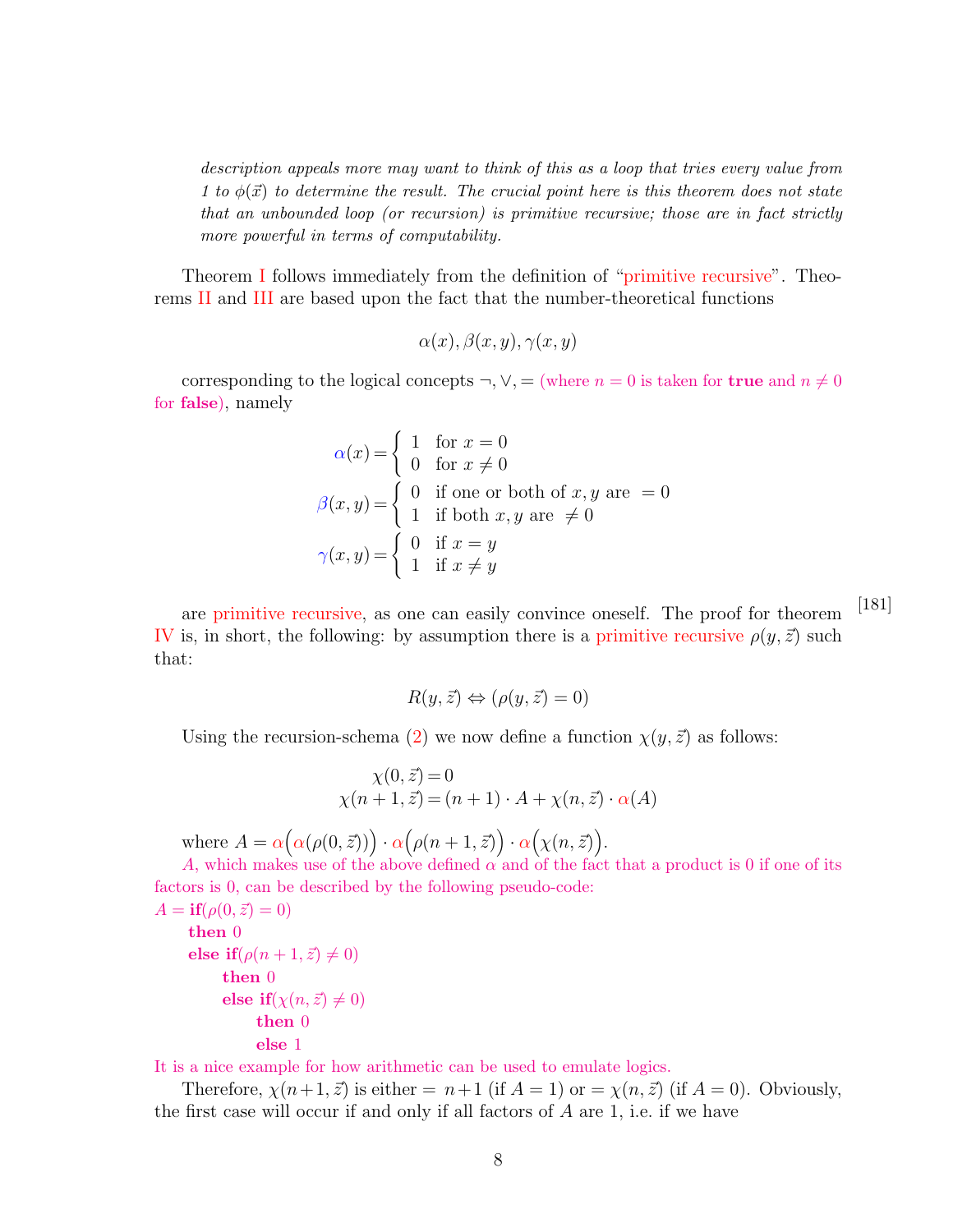<span id="page-7-2"></span>description appeals more may want to think of this as a loop that tries every value from 1 to  $\phi(\vec{x})$  to determine the result. The crucial point here is this theorem does not state that an unbounded loop (or recursion) is primitive recursive; those are in fact strictly more powerful in terms of computability.

Theorem [I](#page-6-4) follows immediately from the definition of"[primitive recursive](#page-6-2)". Theorems [II](#page-6-5) and [III](#page-6-6) are based upon the fact that the number-theoretical functions

$$
\alpha(x), \beta(x, y), \gamma(x, y)
$$

corresponding to the logical concepts  $\neg, \vee, =$  (where  $n = 0$  is taken for true and  $n \neq 0$ for false), namely

<span id="page-7-1"></span>
$$
\alpha(x) = \begin{cases} 1 & \text{for } x = 0 \\ 0 & \text{for } x \neq 0 \end{cases}
$$
  

$$
\beta(x, y) = \begin{cases} 0 & \text{if one or both of } x, y \text{ are } = 0 \\ 1 & \text{if both } x, y \text{ are } \neq 0 \end{cases}
$$
  

$$
\gamma(x, y) = \begin{cases} 0 & \text{if } x = y \\ 1 & \text{if } x \neq y \end{cases}
$$

[181] are [primitive recursive,](#page-6-2) as one can easily convince oneself. The proof for theorem [IV](#page-6-7) is, in short, the following: by assumption there is a [primitive recursive](#page-6-2)  $\rho(y, \vec{z})$  such that:

<span id="page-7-0"></span>
$$
R(y, \vec{z}) \Leftrightarrow (\rho(y, \vec{z}) = 0)
$$

Using the recursion-schema [\(2](#page-6-3)) we now define a function  $\chi(y, \vec{z})$  as follows:

$$
\chi(0, \vec{z}) = 0
$$
  

$$
\chi(n+1, \vec{z}) = (n+1) \cdot A + \chi(n, \vec{z}) \cdot \alpha(A)
$$

where  $A = \alpha(\alpha(\rho(0,\vec{z}))) \cdot \alpha(\rho(n+1,\vec{z})) \cdot \alpha(\chi(n,\vec{z})).$ 

A, which makes use of the above defined  $\alpha$  and of the fact that a product is 0 if one of its factors is 0, can be described by the following pseudo-code:

```
A = \mathbf{if}(\rho(0, \vec{z}) = 0)then 0
      else if(\rho(n+1, \vec{z}) \neq 0)
             then 0
             else if(\chi(n, \vec{z}) \neq 0)
                   then 0
                   else 1
```
It is a nice example for how arithmetic can be used to emulate logics.

Therefore,  $\chi(n+1, \vec{z})$  is either  $=n+1$  (if  $A=1$ ) or  $=\chi(n, \vec{z})$  (if  $A=0$ ). Obviously, the first case will occur if and only if all factors of  $A$  are  $1$ , i.e. if we have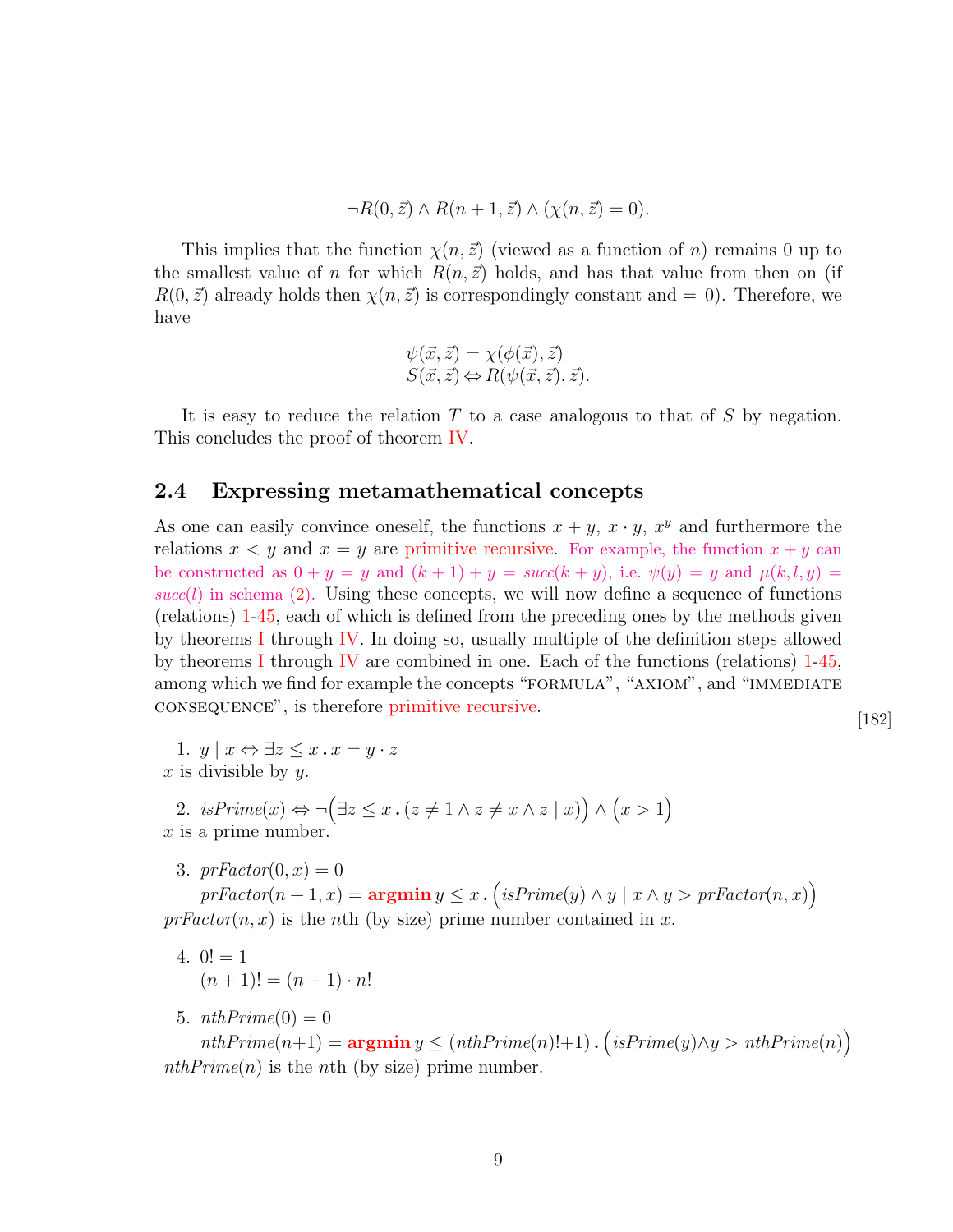$$
\neg R(0, \vec{z}) \land R(n+1, \vec{z}) \land (\chi(n, \vec{z}) = 0).
$$

This implies that the function  $\chi(n, \vec{z})$  (viewed as a function of n) remains 0 up to the smallest value of n for which  $R(n, \vec{z})$  holds, and has that value from then on (if  $R(0, \vec{z})$  already holds then  $\chi(n, \vec{z})$  is correspondingly constant and  $= 0$ ). Therefore, we have

$$
\psi(\vec{x}, \vec{z}) = \chi(\phi(\vec{x}), \vec{z})
$$
  

$$
S(\vec{x}, \vec{z}) \Leftrightarrow R(\psi(\vec{x}, \vec{z}), \vec{z}).
$$

It is easy to reduce the relation  $T$  to a case analogous to that of  $S$  by negation. This concludes the proof of theorem [IV](#page-6-7).

#### 2.4 Expressing metamathematical concepts

As one can easily convince oneself, the functions  $x + y$ ,  $x \cdot y$ ,  $x^y$  and furthermore the relations  $x < y$  and  $x = y$  are [primitive recursive.](#page-6-2) For example, the function  $x + y$  can be constructed as  $0 + y = y$  and  $(k + 1) + y = succ(k + y)$ , i.e.  $\psi(y) = y$  and  $\mu(k, l, y) =$  $succ(l)$  in schema [\(2\)](#page-6-3). Using these concepts, we will now define a sequence of functions (relations) [1](#page-8-1)[-45,](#page-12-1) each of which is defined from the preceding ones by the methods given by theorems [I](#page-6-4) through [IV](#page-6-7). In doing so, usually multiple of the definition steps allowed by theorems [I](#page-6-4) through [IV](#page-6-7) are combined in one. Each of the functions (relations) [1](#page-8-1)[-45,](#page-12-1) among which we find for example the concepts "FORMULA", "AXIOM", and "IMMEDIATE consequence", is therefore [primitive recursive.](#page-6-2)

<span id="page-8-0"></span>[182]

<span id="page-8-1"></span>1. 
$$
y \mid x \Leftrightarrow \exists z \leq x \cdot x = y \cdot z
$$
  
*x* is divisible by *y*.

- 2.  $isPrime(x) \Leftrightarrow \neg (\exists z \leq x \cdot (z \neq 1 \land z \neq x \land z \mid x)) \land (x > 1)$  $x$  is a prime number.
	- 3.  $prFactor(0, x) = 0$

 $prFactor(n+1, x) = \mathbf{argmin} y \leq x$  $prFactor(n+1, x) = \mathbf{argmin} y \leq x$  $prFactor(n+1, x) = \mathbf{argmin} y \leq x$ .  $(isPrime(y) \wedge y \mid x \wedge y > prFactor(n, x))$  $prFactor(n, x)$  is the nth (by size) prime number contained in x.

- 4.  $0! = 1$  $(n + 1)! = (n + 1) \cdot n!$
- 5.  $nthPrime(0) = 0$

 $nthPrime(n+1) = \mathbf{argmin}\, y \leq (nthPrime(n)!+1) \cdot (isPrime(y) \wedge y > nthPrime(n))$  $nthPrime(n+1) = \mathbf{argmin}\, y \leq (nthPrime(n)!+1) \cdot (isPrime(y) \wedge y > nthPrime(n))$  $nthPrime(n+1) = \mathbf{argmin}\, y \leq (nthPrime(n)!+1) \cdot (isPrime(y) \wedge y > nthPrime(n))$  $nthPrime(n)$  is the n<sup>th</sup> (by size) prime number.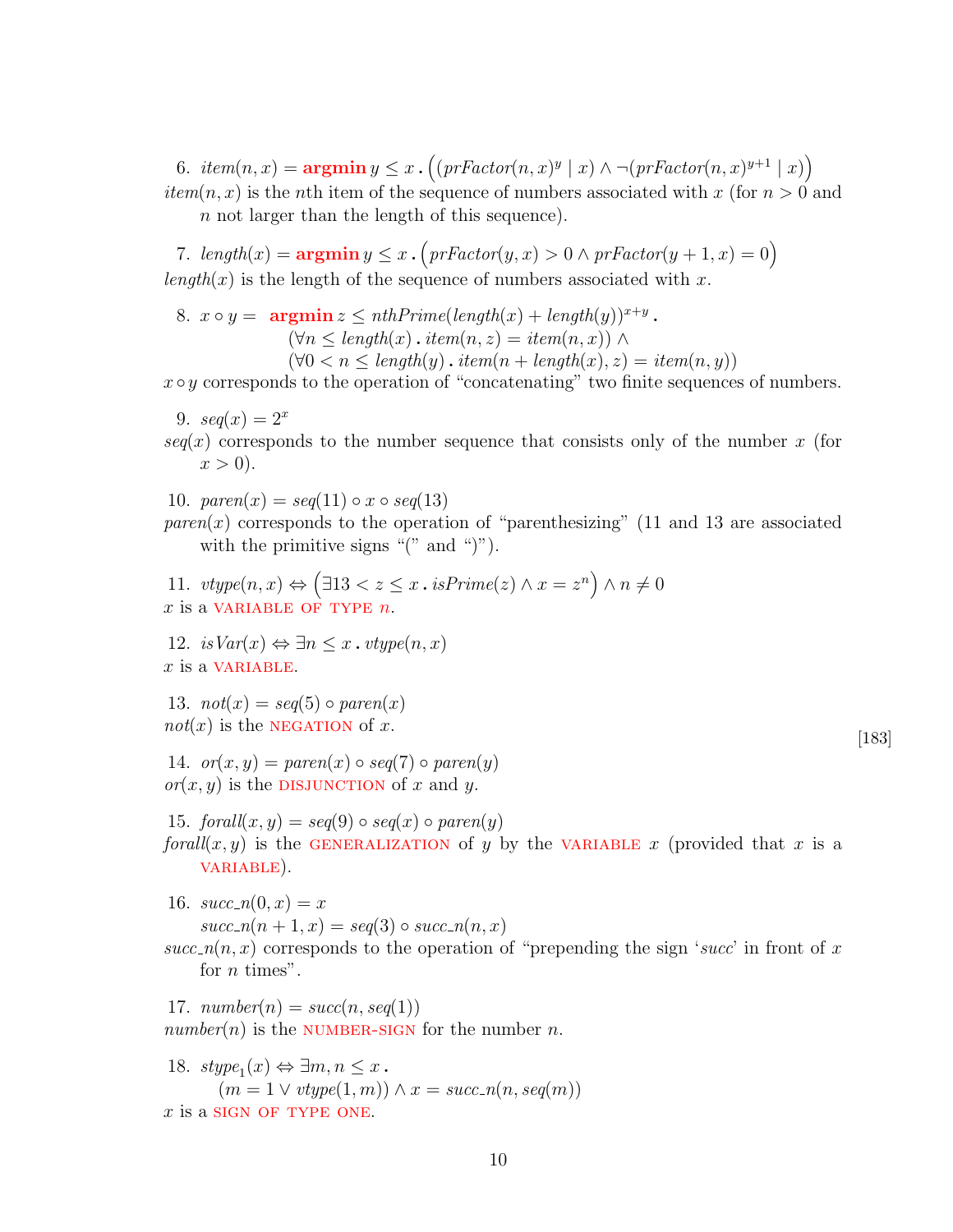6. item $(n, x) = \mathop{\rm argmin} y \leq x \cdot ((prFactor(n, x)^y | x) \wedge \neg (prFactor(n, x)^{y+1} | x))$  $(n, x) = \mathop{\rm argmin} y \leq x \cdot ((prFactor(n, x)^y | x) \wedge \neg (prFactor(n, x)^{y+1} | x))$  $(n, x) = \mathop{\rm argmin} y \leq x \cdot ((prFactor(n, x)^y | x) \wedge \neg (prFactor(n, x)^{y+1} | x))$  $item(n, x)$  is the nth item of the sequence of numbers associated with x (for  $n > 0$  and

n not larger than the length of this sequence).

7. length(x) =  $\mathbf{argmin}\, y \leq x \cdot (prFactor(y, x) > 0 \land prFactor(y + 1, x) = 0)$  $\mathbf{argmin}\, y \leq x \cdot (prFactor(y, x) > 0 \land prFactor(y + 1, x) = 0)$  $\mathbf{argmin}\, y \leq x \cdot (prFactor(y, x) > 0 \land prFactor(y + 1, x) = 0)$ length(x) is the length of the sequence of numbers associated with x.

8.  $x \circ y = \mathop{\mathrm{argmin}} z \leq nthPrime(length(x) + length(y))^{x+y}$  $x \circ y = \mathop{\mathrm{argmin}} z \leq nthPrime(length(x) + length(y))^{x+y}$  $x \circ y = \mathop{\mathrm{argmin}} z \leq nthPrime(length(x) + length(y))^{x+y}$ .  $(\forall n \leq length(x) \cdot item(n,z) = item(n,x))$  ∧  $(\forall 0 < n < length(y)$ . item $(n + length(x), z) = item(n, y)$ 

 $x \circ y$  corresponds to the operation of "concatenating" two finite sequences of numbers.

9.  $\text{seq}(x) = 2^x$  $seq(x)$  corresponds to the number sequence that consists only of the number x (for  $x > 0$ ).

10. 
$$
parent(x) = seq(11) \circ x \circ seq(13)
$$
  
  $parent(x)$  corresponds to the operation of "parenthesizing" (11 and 13 are associated  
with the primitive signs " $($ " and " $)$ ").

11. 
$$
vtype(n, x) \Leftrightarrow (\exists 13 < z \le x \cdot isPrime(z) \land x = z^n) \land n \ne 0
$$
  
*x* is a **VARIABLE OF TYPE** *n*.

```
12. is Var(x) \Leftrightarrow \exists n \leq x. vtype(n, x)x is a VARIABLE.
```

```
13. not(x) = seq(5) \circ parent(x)not(x) is the NEGATION of x.
```

```
14. or(x, y) = p \text{.} or \text{.} or \text{.} or p \text{.} or p \text{.} or p \text{.}or(x, y) is the DISJUNCTION of x and y.
```
15. forall $(x, y) = \text{seq}(9) \circ \text{seq}(x) \circ \text{parent}(y)$ forall $(x, y)$  is the GENERALIZATION of y by the VARIABLE x (provided that x is a [variable](#page-3-6)).

<span id="page-9-0"></span>[183]

16.  $succ_n(0, x) = x$  $succ_n(n+1, x) = seq(3) \circ succ_n(n, x)$ 

- succ  $n(n, x)$  corresponds to the operation of "prepending the sign 'succ' in front of x for  $n \times$  times".
- <span id="page-9-1"></span>17.  $number(n) = succ(n, seq(1))$  $number(n)$  is the NUMBER-SIGN for the number n.
- 18.  $style_1(x) \Leftrightarrow \exists m, n \leq x$ .  $(m = 1 \vee vtype(1, m)) \wedge x = succ_n(n, seq(m))$  $x$  is a SIGN OF TYPE ONE.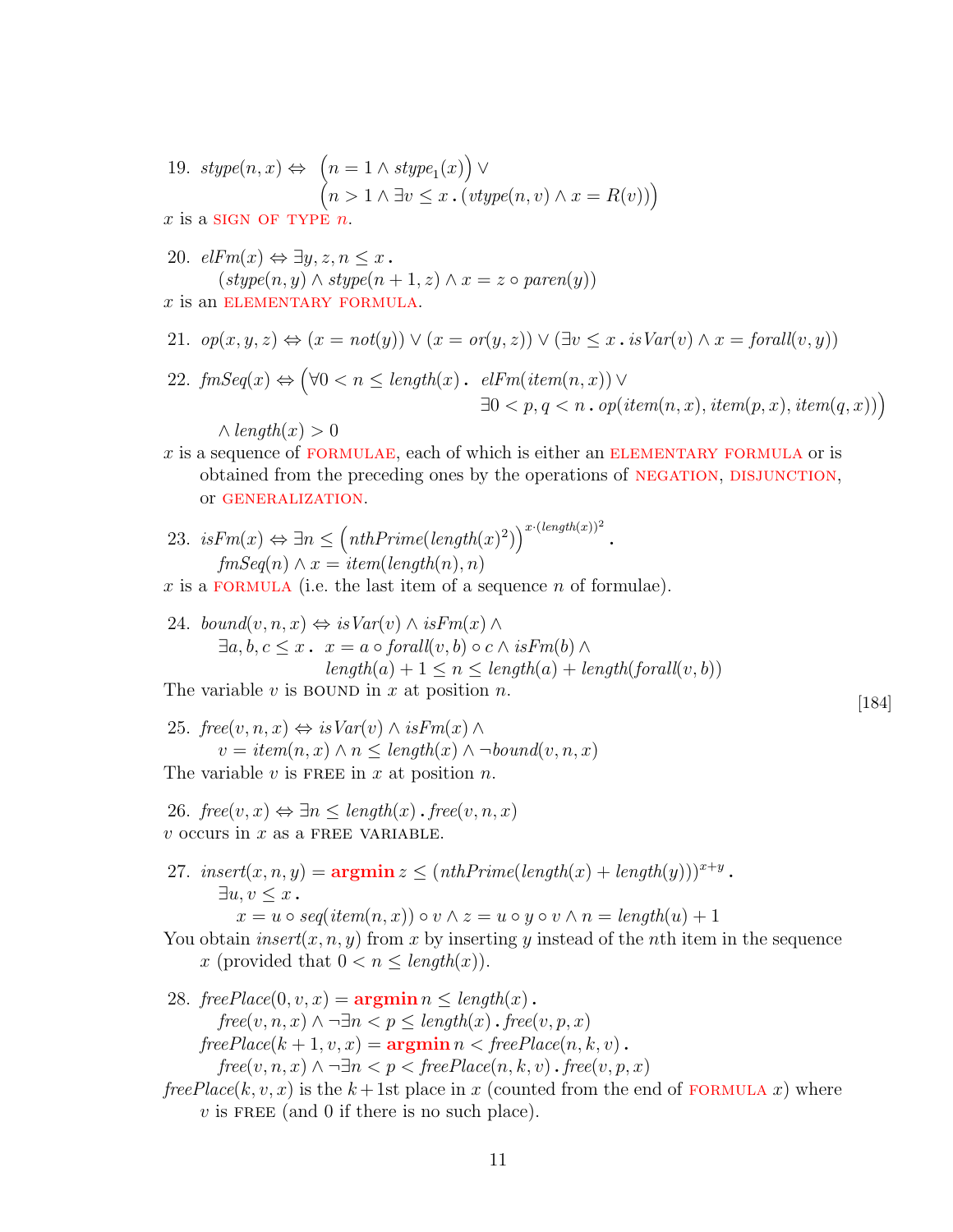19.  $style(n, x) \Leftrightarrow (n = 1 \land style_{1}(x)) \lor$  $(n > 1 \land \exists v \leq x \cdot (vtype(n, v) \land x = R(v)))$ 

 $x$  is a SIGN OF TYP

- 20.  $elFm(x) \Leftrightarrow \exists y, z, n \leq x$ .  $(stype(n, y) \wedge style(n + 1, z) \wedge x = z \circ parent(y))$  $x$  is an ELEMENTARY FORMULA.
- 21. op $(x, y, z) \Leftrightarrow (x = not(y)) \vee (x = or(y, z)) \vee (\exists v \leq x \cdot isVar(v) \wedge x = forall(v, y))$
- 22. fmSeq(x)  $\Leftrightarrow$   $(\forall 0 < n \leq length(x) \cdot$  elFm(item(n, x))  $\vee$  $\exists 0 < p, q < n \cdot op(item(n, x), item(p, x), item(q, x))$

 $\wedge$  length $(x) > 0$ 

- $x$  is a sequence of FORMULAE, each of which is either an ELEMENTARY FORMULA or is obtained from the preceding ones by the operations of NEGATION, DISJUNCTION, or [generalization](#page-3-12).
- 23. is $Fm(x) \Leftrightarrow \exists n \leq (nthPrime(length(x)^{2}))^{x \cdot (length(x))^{2}}$ .  $f \in \text{reg}(n) \land x = item(lenqth(n), n)$

x is a FORMULA (i.e. the last item of a sequence n of [formula](#page-3-5)e).

24. bound $(v, n, x) \Leftrightarrow isVar(v) \wedge isFm(x) \wedge$  $\exists a, b, c \leq x$ .  $x = a \circ \text{for all}(v, b) \circ c \land \text{isFm}(b) \land$  $length(a) + 1 \leq n \leq length(a) + length(forall(v, b))$ 

The variable  $v$  is BOUND in  $x$  at position  $n$ .

25. free $(v, n, x) \Leftrightarrow isVar(v) \wedge isFm(x) \wedge$  $v = item(n, x) \land n \le length(x) \land \neg bound(v, n, x)$ 

The variable v is FREE in x at position  $n$ .

- 26. free $(v, x) \Leftrightarrow \exists n \leq length(x)$ . free $(v, n, x)$  $v$  occurs in  $x$  as a FREE VARIABLE.
- 27.  $insert(x, n, y) = \mathbf{argmin} z \leq (nthPrime(length(x) + length(y)))^{x+y}$  $insert(x, n, y) = \mathbf{argmin} z \leq (nthPrime(length(x) + length(y)))^{x+y}$  $insert(x, n, y) = \mathbf{argmin} z \leq (nthPrime(length(x) + length(y)))^{x+y}$ .  $\exists u, v \leq x$ .  $x = u \circ \text{seq}(\text{item}(n, x)) \circ v \wedge z = u \circ y \circ v \wedge n = \text{length}(u) + 1$

You obtain *insert* $(x, n, y)$  from x by inserting y instead of the nth item in the sequence x (provided that  $0 < n \leq length(x)$ ).

28. free Place  $(0, v, x) = \mathop{\rm argmin} n \leq \text{length}(x)$  $(0, v, x) = \mathop{\rm argmin} n \leq \text{length}(x)$  $(0, v, x) = \mathop{\rm argmin} n \leq \text{length}(x)$ .  $free(v, n, x) \wedge \neg \exists n < p < length(x)$ .  $free(v, p, x)$  $freePlace(k + 1, v, x) = \mathbf{argmin}\, n < freePlace(n, k, v)$  $freePlace(k + 1, v, x) = \mathbf{argmin}\, n < freePlace(n, k, v)$  $freePlace(k + 1, v, x) = \mathbf{argmin}\, n < freePlace(n, k, v)$ .  $free(v, n, x) \wedge \neg \exists n < p < freePlace(n, k, v)$ .  $free(v, p, x)$  $freePlace(k, v, x)$  is the k + 1st place in x (counted from the end of FORMULA x) where  $v$  is FREE (and 0 if there is no such place).

<span id="page-10-0"></span>[184]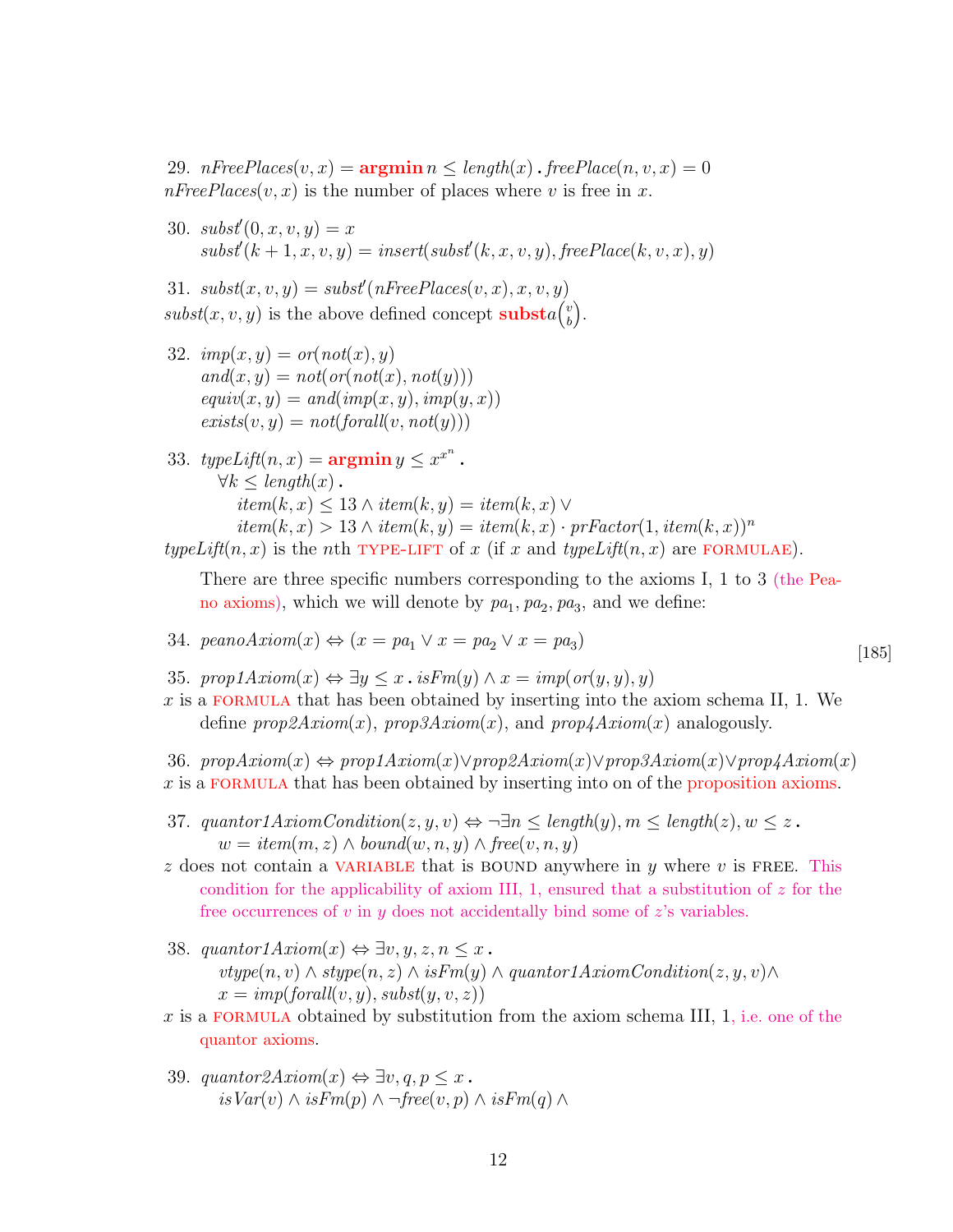29.  $nFreePlaces(v, x) = \mathop{\rm argmin} n \leq length(x)$  $nFreePlaces(v, x) = \mathop{\rm argmin} n \leq length(x)$  $nFreePlaces(v, x) = \mathop{\rm argmin} n \leq length(x)$ .  $freePlace(n, v, x) = 0$  $nFreePlaces(v, x)$  is the number of places where v is free in x.

30.  $\textit{subst}'(0, x, v, y) = x$  $\textit{subst}'(k+1, x, v, y) = \textit{insert}(\textit{subst}'(k, x, v, y), \textit{freePlace}(k, v, x), y)$ 

<span id="page-11-1"></span>31.  $\textit{subst}(x, v, y) = \textit{subs}'(\textit{nFreePlaces}(v, x), x, v, y)$  $\textit{subst}(x, v, y)$  $\textit{subst}(x, v, y)$  $\textit{subst}(x, v, y)$  is the above defined concept substa $\binom{v}{b}$  $\genfrac{\{}{\}}{0pt}{}{v}{b}$ .

- 32.  $imp(x, y) = or(not(x), y)$  $and(x, y) = not($  or $(not(x), not(y)))$  $equiv(x, y) = and (imp(x, y), imp(y, x))$  $exists(v, y) = not(forall(v, not(y)))$
- 33.  $typeLift(n, x) = \mathbf{argmin}\, y \leq x^{x^n}$  $typeLift(n, x) = \mathbf{argmin}\, y \leq x^{x^n}$  $typeLift(n, x) = \mathbf{argmin}\, y \leq x^{x^n}$ .  $\forall k \leq length(x)$ .  $item(k, x) ≤ 13 \wedge item(k, y) = item(k, x) \vee$  $item(k, x) > 13 \wedge item(k, y) = item(k, x) \cdot prFactor(1, item(k, x))^n$

typeLift(n, x) is the nth TYPE-LIFT of x (if x and typeLift(n, x) are FORMULAE).

There are three specific numbers corresponding to the axioms I, 1 to 3 (the [Pea](#page-4-3)[no axioms\)](#page-4-3), which we will denote by  $pa_1$ ,  $pa_2$ ,  $pa_3$ , and we define:

<span id="page-11-0"></span>[185]

- 34.  $peanoAxiom(x) \Leftrightarrow (x = pa_1 \vee x = pa_2 \vee x = pa_3)$
- 35.  $prop1Axiom(x) \Leftrightarrow \exists y \leq x \cdot isFm(y) \wedge x = imp(or(y, y), y)$
- x is a FORMULA that has been obtained by inserting into the axiom schema II, 1. We define  $prop2Axiom(x)$ ,  $prop3Axiom(x)$ , and  $prop4Axiom(x)$  analogously.

36.  $propAxiom(x) \Leftrightarrow prop1Axiom(x) \lor prop2Axiom(x) \lor prop3Axiom(x) \lor prop4Axiom(x)$  $x$  is a FORMULA that has been obtained by inserting into on of the [proposition axioms.](#page-4-4)

- 37. quantor1AxiomCondition( $z, y, v$ )  $\Leftrightarrow \neg \exists n \leq length(y), m \leq length(z), w \leq z$ .  $w = item(m, z) \wedge bound(w, n, y) \wedge free(v, n, y)$
- z does not contain a VARIABLE that is BOUND anywhere in y where v is FREE. This condition for the applicability of axiom III, 1, ensured that a substitution of  $z$  for the free occurrences of v in y does not accidentally bind some of  $z$ 's variables.
- 38. quantor1Axiom(x)  $\Leftrightarrow \exists v, y, z, n \leq x$ .  $vtype(n, v) \wedge style(n, z) \wedge isFm(y) \wedge quantor 1AxiomCondition(z, y, v) \wedge$  $x = imp(forall(v, y), \textit{subst}(y, v, z))$
- x is a FORMULA obtained by substitution from the axiom schema III,  $1$ , i.e. one of the [quantor axioms](#page-4-5).
- 39. quantor2 $Axiom(x) \Leftrightarrow \exists v, q, p \leq x$ . is  $Var(v) \wedge isFm(p) \wedge \neg free(v, p) \wedge isFm(q) \wedge$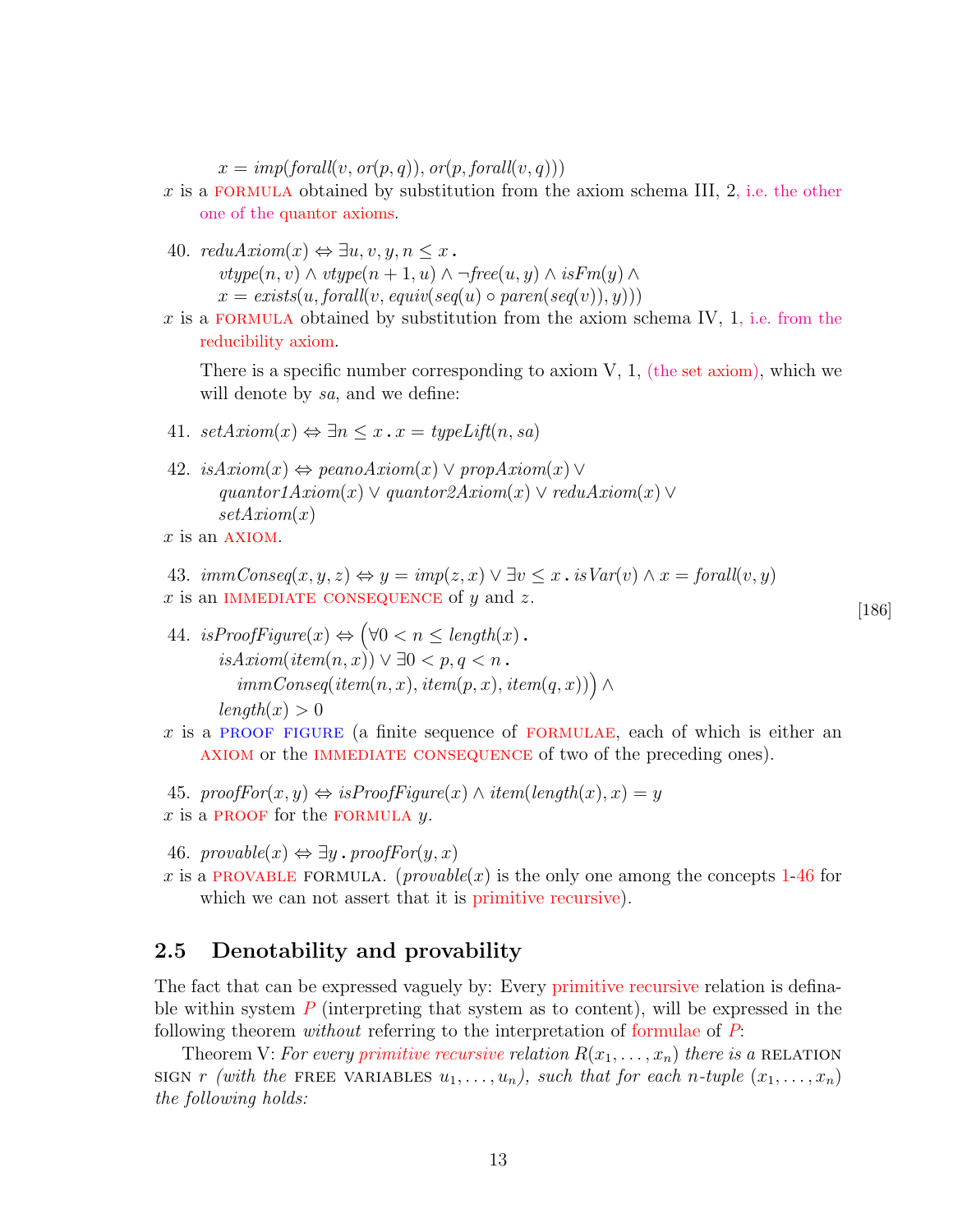$x = \text{imp}(\text{for all}(v, \text{or}(p, q)), \text{or}(p, \text{for all}(v, q)))$ 

- <span id="page-12-5"></span>x is a FORMULA obtained by substitution from the axiom schema III, 2, i.e. the other one of the [quantor axioms](#page-4-5).
- 40.  $reduAxiom(x) \Leftrightarrow \exists u, v, y, n \leq x$ .  $vtype(n, v) \wedge vtype(n + 1, u) \wedge \neg free(u, y) \wedge isFm(y) \wedge$  $x = exists(u, for all(v, equiv(seq(u) \circ paren(seq(v)), y)))$
- x is a FORMULA obtained by substitution from the axiom schema IV, 1, i.e. from the [reducibility axiom](#page-4-6).

There is a specific number corresponding to axiom  $V$ , 1, (the [set axiom\)](#page-5-3), which we will denote by sa, and we define:

- 41.  $setAxiom(x) \Leftrightarrow \exists n \leq x \cdot x = typeLift(n, sa)$
- 42.  $isAxiom(x) \Leftrightarrow peanoAxiom(x) \lor propAxiom(x) \lor$ quantor1Axiom(x) ∨ quantor2Axiom(x) ∨ reduAxiom(x) ∨  $setAxiom(x)$

 $x$  is an AXIOM.

43.  $\limmConseq(x, y, z) \Leftrightarrow y = \limp(z, x) \vee \exists v \leq x \cdot \text{is} \text{Var}(v) \wedge x = \text{for all}(v, y)$ x is an IMMEDIATE CONSEQUENCE of  $y$  and  $z$ .

- <span id="page-12-3"></span>44. isProofFigure $(x) \Leftrightarrow (\forall 0 < n \leq length(x)$ .  $isAxiom(item(n, x)) \vee \exists 0 < p, q < n$ .  $immConseqitem(n, x), item(p, x), item(q, x))$  $length(x) > 0$
- x is a PROOF FIGURE (a finite sequence of FORMULAE, each of which is either an [axiom](#page-4-2) or the [immediate consequence](#page-5-1) of two of the preceding ones).

<span id="page-12-0"></span>[186]

- <span id="page-12-1"></span>45. proofFor $(x, y) \Leftrightarrow isProofFigure(x) \wedge item(lenqth(x), x) = y$  $x$  is a PROOF for the FORMULA  $y$ .
- 46.  $\textit{provable}(x) \Leftrightarrow \exists y \cdot \textit{proofFor}(y, x)$
- <span id="page-12-2"></span>x is a PROVABLE FORMULA. ([provable](#page-5-2)(x) is the only one among the concepts [1-](#page-8-1)[46](#page-12-2) for which we can not assert that it is [primitive recursive\)](#page-6-2).

#### 2.5 Denotability and provability

The fact that can be expressed vaguely by: Every [primitive recursive](#page-6-2) relation is definable within system  $P$  (interpreting that system as to content), will be expressed in the following theorem without referring to the interpretation of [formulae](#page-3-5) of [P](#page-3-2):

<span id="page-12-4"></span>Theorem V: For every [primitive recursive](#page-6-2) relation  $R(x_1, \ldots, x_n)$  there is a RELATION SIGN r (with the FREE VARIABLES  $u_1, \ldots, u_n$ ), such that for each n-tuple  $(x_1, \ldots, x_n)$ the following holds: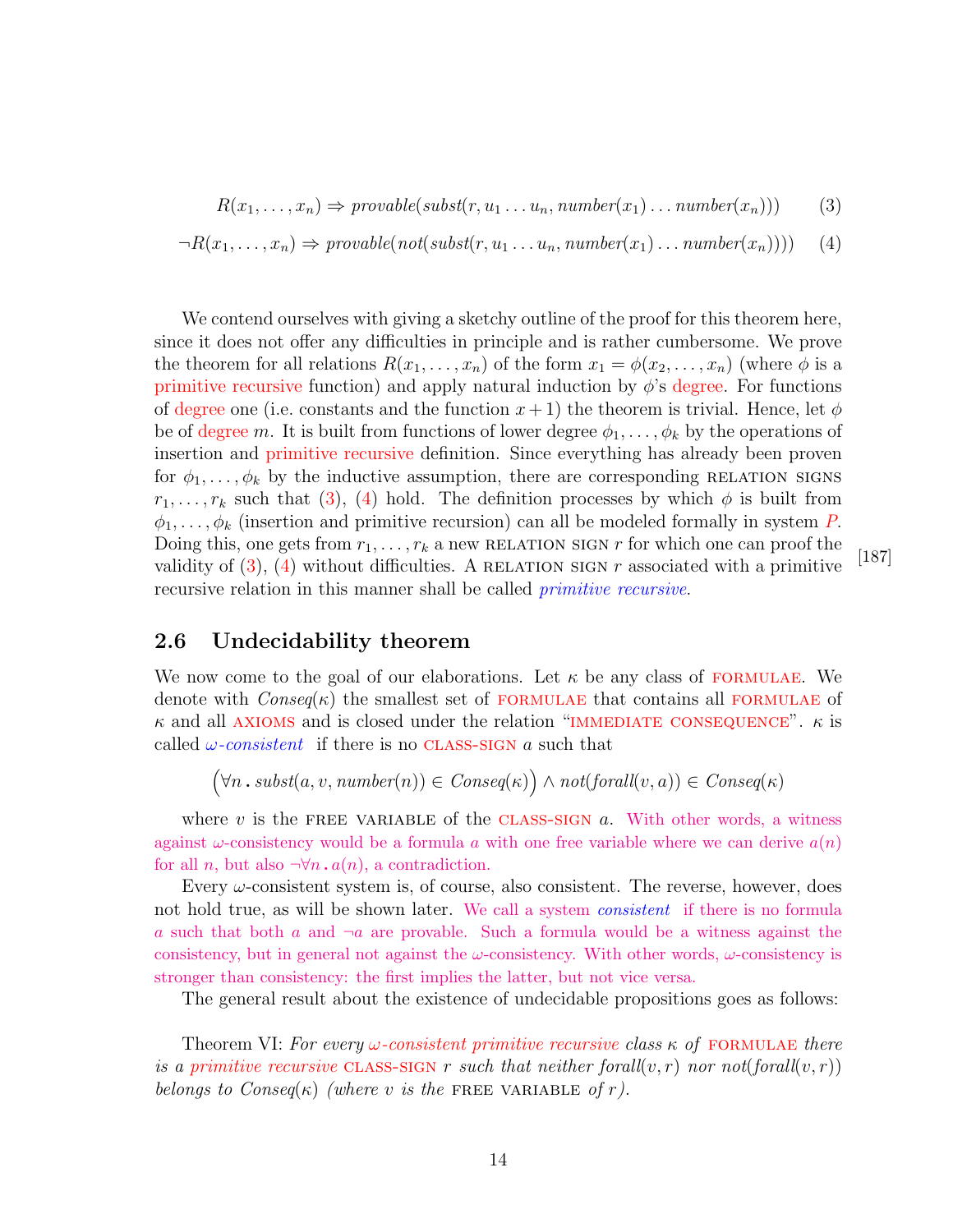<span id="page-13-7"></span><span id="page-13-1"></span>
$$
R(x_1, \ldots, x_n) \Rightarrow provable(subst(r, u_1 \ldots u_n, number(x_1) \ldots number(x_n))) \tag{3}
$$

<span id="page-13-2"></span>
$$
\neg R(x_1, \ldots, x_n) \Rightarrow provable(not(subst(r, u_1 \ldots u_n, number(x_1) \ldots number(x_n)))) \quad (4)
$$

We contend ourselves with giving a sketchy outline of the proof for this theorem here, since it does not offer any difficulties in principle and is rather cumbersome. We prove the theorem for all relations  $R(x_1, \ldots, x_n)$  of the form  $x_1 = \phi(x_2, \ldots, x_n)$  (where  $\phi$  is a [primitive recursive](#page-6-2) function) and apply natural induction by  $\phi$ 's [degree.](#page-6-9) For functions of [degree](#page-6-9) one (i.e. constants and the function  $x+1$ ) the theorem is trivial. Hence, let  $\phi$ be of [degree](#page-6-9) m. It is built from functions of lower degree  $\phi_1, \ldots, \phi_k$  by the operations of insertion and [primitive recursive](#page-6-2) definition. Since everything has already been proven for  $\phi_1, \ldots, \phi_k$  by the inductive assumption, there are corresponding RELATION SIGNS  $r_1, \ldots, r_k$  $r_1, \ldots, r_k$  $r_1, \ldots, r_k$  such that [\(3](#page-13-1)), ([4\)](#page-13-2) hold. The definition processes by which  $\phi$  is built from  $\phi_1, \ldots, \phi_k$  (insertion and primitive recursion) can all be modeled formally in system [P](#page-3-2). Doing this, one gets from  $r_1, \ldots, r_k$  a new RELATION SIGN r for which one can proof the validity of [\(3](#page-13-1)), [\(4](#page-13-2)) without difficulties. A RELATION SIGN r associated with a primitive [187] recursive relation in this manner shall be called *primitive recursive*.

#### 2.6 Undecidability theorem

We now come to the goal of our elaborations. Let  $\kappa$  be any class of FORMULAE. We denote with  $Conseq(\kappa)$  the smallest set of FORMULAE that contains all FORMULAE of  $\kappa$  and all AXIOMS and is closed under the relation "IMMEDIATE CONSEQUENCE".  $\kappa$  is called  $\omega$ -consistent if there is no CLASS-SIGN a such that

<span id="page-13-6"></span><span id="page-13-4"></span><span id="page-13-3"></span><span id="page-13-0"></span> $(\forall n \cdot \textit{subst}(a, v, \textit{number}(n)) \in \textit{Conseq}(\kappa)) \land \textit{not}(\textit{forall}(v, a)) \in \textit{Conseq}(\kappa)$ 

where  $v$  is the FREE VARIABLE of the CLASS-SIGN  $a$ . With other words, a witness against  $\omega$ -consistency would be a formula a with one free variable where we can derive  $a(n)$ for all *n*, but also  $\neg \forall n \cdot a(n)$ , a contradiction.

Every  $\omega$ -consistent system is, of course, also consistent. The reverse, however, does not hold true, as will be shown later. We call a system *consistent* if there is no formula a such that both a and  $\neg a$  are provable. Such a formula would be a witness against the consistency, but in general not against the  $\omega$ -consistency. With other words,  $\omega$ -consistency is stronger than consistency: the first implies the latter, but not vice versa.

The general result about the existence of undecidable propositions goes as follows:

<span id="page-13-5"></span>Theorem VI: For every  $\omega$ [-consistent](#page-13-3) [primitive recursive](#page-6-2) class  $\kappa$  of FORMULAE there is a [primitive recursive](#page-6-2) CLASS-SIGN r such that neither forall $(v, r)$  nor not(forall $(v, r)$ ) belongs to  $Conseq(\kappa)$  (where v is the FREE VARIABLE of r).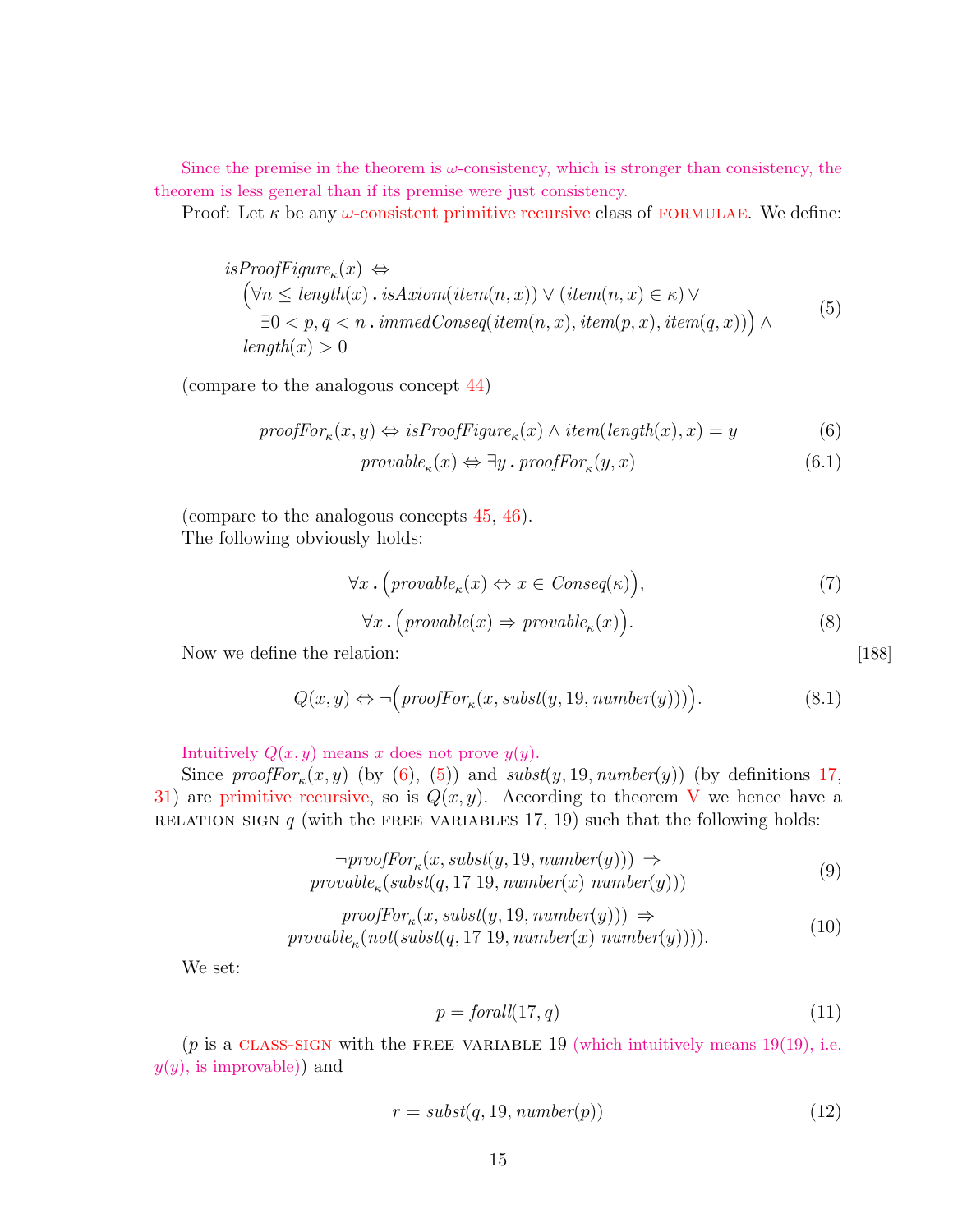Since the premise in the theorem is  $\omega$ -consistency, which is stronger than consistency, the theorem is less general than if its premise were just consistency.

Proof: Let  $\kappa$  be any  $\omega$ [-consistent](#page-13-3) [primitive recursive](#page-6-2) class of FORMULAE. We define:

<span id="page-14-2"></span>isProofFigure<sub>$$
\kappa
$$</sub>(x)  $\Leftrightarrow$   
\n
$$
(\forall n \le length(x) \cdot isAxi(m(item(n, x)) \lor (item(n, x) \in \kappa) \lor \exists 0 < p, q < n \cdot immediately, isAdim(item(n, x), item(p, x), item(q, x))) \land
$$
\n
$$
length(x) > 0
$$
\n(5)

(compare to the analogous concept [44](#page-12-3))

<span id="page-14-1"></span>
$$
proofFor_{\kappa}(x, y) \Leftrightarrow isProofFigure_{\kappa}(x) \wedge item(length(x), x) = y \tag{6}
$$

$$
provable_{\kappa}(x) \Leftrightarrow \exists y \, . \, proofFor_{\kappa}(y, x) \tag{6.1}
$$

(compare to the analogous concepts [45,](#page-12-1) [46\)](#page-12-2). The following obviously holds:

<span id="page-14-7"></span>
$$
\forall x. (provide_{\kappa}(x) \Leftrightarrow x \in \text{Conseq}(\kappa)), \tag{7}
$$

$$
\forall x. (provide(x) \Rightarrow provable_{\kappa}(x)). \tag{8}
$$

Now we define the relation: [188]

$$
Q(x, y) \Leftrightarrow \neg \Big( \text{proofFor}_{\kappa}(x, \text{subst}(y, 19, \text{number}(y))) \Big). \tag{8.1}
$$

Intuitively  $Q(x, y)$  means x does not prove  $y(y)$ .

Since  $proofFor_{\kappa}(x, y)$  (by [\(6](#page-14-1)), [\(5](#page-14-2))) and  $subst(y, 19, number(y))$  (by definitions [17,](#page-9-1) [31\)](#page-11-1) are [primitive recursive](#page-6-2), so is  $Q(x, y)$ . According to theorem [V](#page-12-4) we hence have a RELATION SIGN  $q$  (with the FREE VARIABLES 17, 19) such that the following holds:

<span id="page-14-5"></span>
$$
\neg proofFor_{\kappa}(x, \text{subst}(y, 19, \text{number}(y))) \Rightarrow \text{prob}(x, \text{subst}(y, 17, 19, \text{number}(x) \text{number}(y)))
$$
\n
$$
(9)
$$

<span id="page-14-6"></span>
$$
proofFor_{\kappa}(x, subst(y, 19, number(y))) \Rightarrow
$$

$$
provide_{\kappa}(not(subst(q, 17 19, number(x) number(y)))).
$$
 (10)

We set:

<span id="page-14-3"></span>
$$
p = \text{for all}(17, q) \tag{11}
$$

 $(p$  is a CLASS-SIGN with the FREE VARIABLE 19 (which intuitively means 19(19), i.e.  $y(y)$ , is improvable) and

<span id="page-14-4"></span>
$$
r = subst(q, 19, number(p))
$$
\n<sup>(12)</sup>

<span id="page-14-0"></span>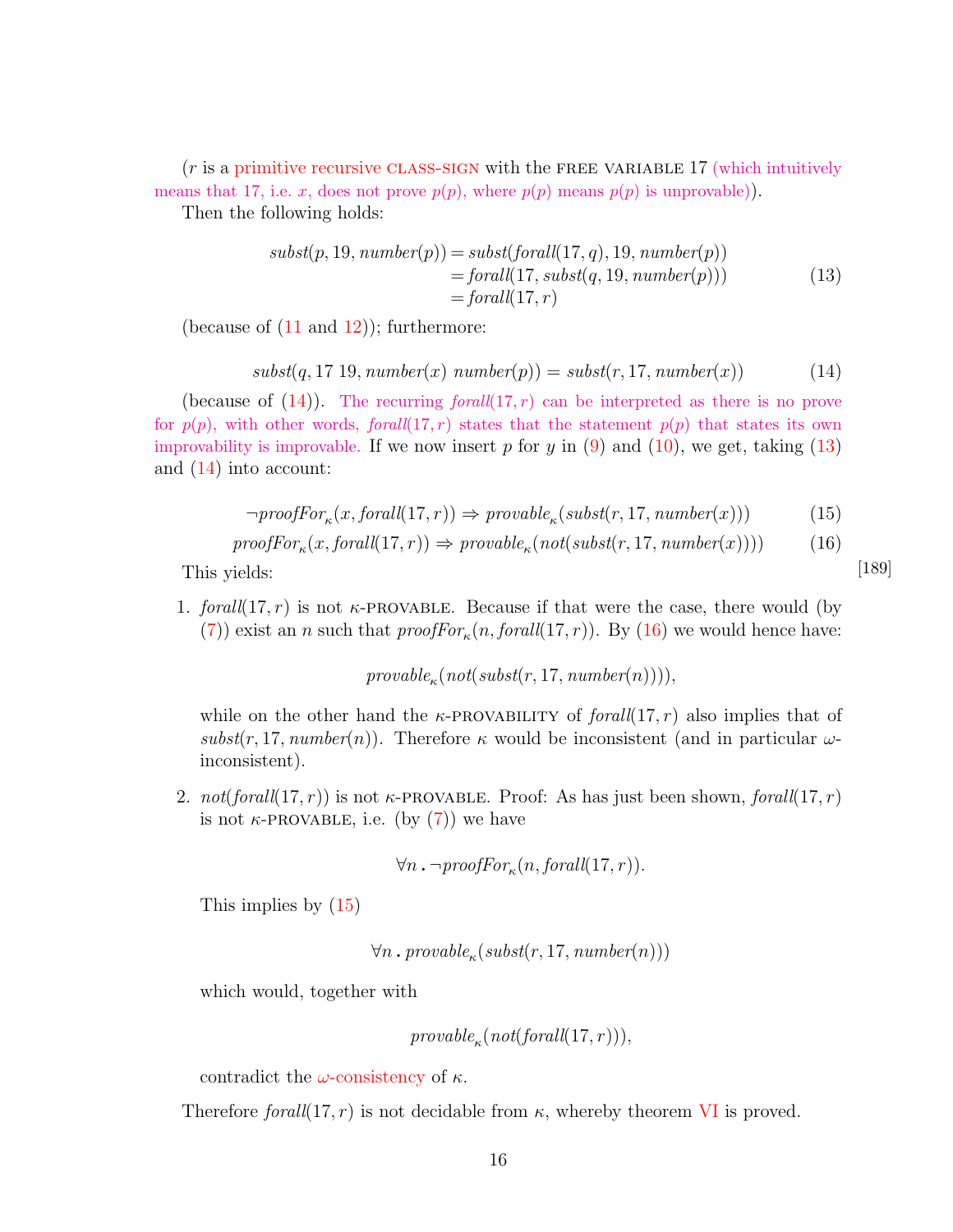$(r$  is a [primitive recursive](#page-6-2) CLASS-SIGN with the FREE VARIABLE 17 (which intuitively means that 17, i.e. x, does not prove  $p(p)$ , where  $p(p)$  means  $p(p)$  is unprovable).

Then the following holds:

<span id="page-15-2"></span>
$$
subst(p, 19, number(p)) = subst(for all(17, q), 19, number(p))
$$
  
= 
$$
for all(17, subst(q, 19, number(p)))
$$
  
= 
$$
for all(17, r)
$$
 (13)

(becauseof  $(11 \text{ and } 12)$  $(11 \text{ and } 12)$  $(11 \text{ and } 12)$  $(11 \text{ and } 12)$ ); furthermore:

<span id="page-15-1"></span>
$$
subst(q, 17~19, number(x) number(p)) = subst(r, 17, number(x))
$$
\n(14)

(because of  $(14)$ ). The recurring *forall* $(17, r)$  can be interpreted as there is no prove for  $p(p)$ , with other words, forall(17, r) states that the statement  $p(p)$  that states its own improvabilityis improvable. If we now insert p for y in  $(9)$  and  $(10)$  $(10)$  $(10)$ , we get, taking  $(13)$  $(13)$ and([14](#page-15-1)) into account:

<span id="page-15-4"></span>
$$
\neg proofFor_{\kappa}(x, for all (17, r)) \Rightarrow provable_{\kappa}(subset(r, 17, number(x))) \tag{15}
$$

<span id="page-15-3"></span>
$$
proofFor_{\kappa}(x, for all (17, r)) \Rightarrow provable_{\kappa}(not(subst(r, 17, number(x)))) \qquad (16)
$$

This yields: [189]

1. forall(17, r) is not  $\kappa$ -PROVABLE. Because if that were the case, there would (by [\(7\)](#page-14-7)) exist an *n* such that  $proofFor_{\kappa}(n, for all (17, r))$ . By [\(16\)](#page-15-3) we would hence have:

$$
provable_{\kappa}(not(subst(r,17,number(n)))),
$$

while on the other hand the  $\kappa$ -PROVABILITY of *forall*(17, r) also implies that of  $\textit{subst}(r, 17, \textit{number}(n))$ . Therefore  $\kappa$  would be inconsistent (and in particular  $\omega$ inconsistent).

2.  $not(for all (17, r))$  is not  $\kappa$ -PROVABLE. Proof: As has just been shown,  $for all (17, r)$ isnot  $\kappa$ -PROVABLE, i.e. (by ([7\)](#page-14-7)) we have

$$
\forall n \cdot \neg proofFor_{\kappa}(n, for all (17, r)).
$$

This implies by([15](#page-15-4))

$$
\forall n \mathit{. provable}_\kappa(subst(r, 17, \mathit{number}(n)))
$$

which would, together with

$$
provable_{\kappa}(not (for all (17, r))),
$$

contradict the  $\omega$ [-consistency](#page-13-4) of  $\kappa$ .

Therefore forall(17, r) is not decidable from  $\kappa$ , whereby theorem [VI](#page-13-5) is proved.

<span id="page-15-0"></span>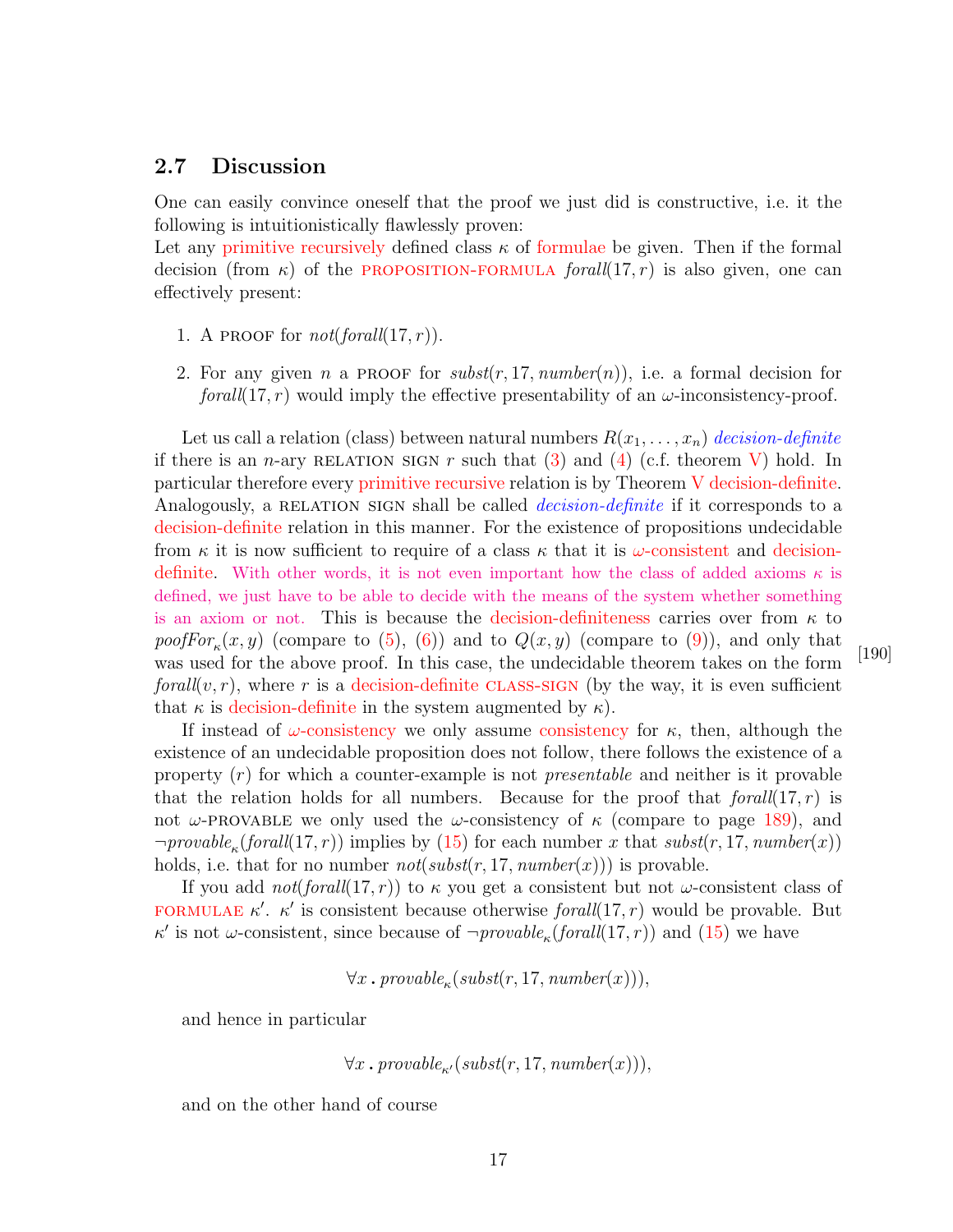#### <span id="page-16-3"></span><span id="page-16-2"></span>2.7 Discussion

One can easily convince oneself that the proof we just did is constructive, i.e. it the following is intuitionistically flawlessly proven:

Let any [primitive recursive](#page-6-2)ly defined class  $\kappa$  of [formula](#page-3-5)e be given. Then if the formal decision (from  $\kappa$ ) of the PROPOSITION-FORMULA *forall*(17, *r*) is also given, one can effectively present:

- 1. A PROOF for  $not(forall(17, r))$ .
- 2. For any given n a PROOF for  $\mathit{subst}(r, 17, \mathit{number}(n))$ , i.e. a formal decision for  $for all (17, r)$  would imply the effective presentability of an  $\omega$ -inconsistency-proof.

Let us call a relation (class) between natural numbers  $R(x_1, \ldots, x_n)$  decision-definite ifthere is an *n*-ary RELATION SIGN r such that  $(3)$  $(3)$  and  $(4)$  (c.f. theorem [V\)](#page-12-4) hold. In particular therefore every [primitive recursive](#page-6-2) relation is by Theorem [V](#page-12-4) [decision-definite.](#page-16-1) Analogously, a RELATION SIGN shall be called *decision-definite* if it corresponds to a [decision-definite](#page-16-1) relation in this manner. For the existence of propositions undecidable from  $\kappa$  it is now sufficient to require of a class  $\kappa$  that it is  $\omega$ [-consistent](#page-13-3) and [decision](#page-16-1)[definite.](#page-16-1) With other words, it is not even important how the class of added axioms  $\kappa$  is defined, we just have to be able to decide with the means of the system whether something is an axiom or not. This is because the [decision-definite](#page-16-1)ness carries over from  $\kappa$  to poofFor<sub> $\kappa$ </sub> $(x, y)$  $(x, y)$  $(x, y)$  (compare to ([5](#page-14-2)), [\(6](#page-14-1))) and to  $Q(x, y)$  (compare to [\(9\)](#page-14-5)), and only that was used for the above proof. In this case, the undecidable theorem takes on the form [190]  $for all (v, r)$ , where r is a [decision-definite](#page-16-1) CLASS-SIGN (by the way, it is even sufficient that  $\kappa$  is [decision-definite](#page-16-1) in the system augmented by  $\kappa$ ).

If instead of  $\omega$ [-consistency](#page-13-4) we only assume [consistency](#page-13-6) for  $\kappa$ , then, although the existence of an undecidable proposition does not follow, there follows the existence of a property  $(r)$  for which a counter-example is not *presentable* and neither is it provable that the relation holds for all numbers. Because for the proof that  $f\text{orall}(17, r)$  is not  $\omega$ -provable we only used the  $\omega$ -consistency of  $\kappa$  (compare to page [189](#page-15-0)), and  $\neg provable_\kappa(forall(17,r))$  $\neg provable_\kappa(forall(17,r))$  $\neg provable_\kappa(forall(17,r))$  implies by ([15\)](#page-15-4) for each number x that subst(r, 17, number(x)) holds, i.e. that for no number  $not(subst(r, 17, number(x)))$  is provable.

If you add not(forall(17, r)) to  $\kappa$  you get a consistent but not  $\omega$ -consistent class of FORMULAE  $\kappa'$ .  $\kappa'$  is consistent because otherwise *forall*(17, *r*) would be provable. But κ' is not ω-consistent, since because of  $\neg provable_\kappa(for all(17, r))$  and  $(15)$  we have

$$
\forall x \text{ . } provable_{\kappa}(subset(r, 17, number(x))),
$$

and hence in particular

$$
\forall x \text{ . } provable_{\kappa'}(subst(r, 17, number(x))),
$$

and on the other hand of course

<span id="page-16-1"></span><span id="page-16-0"></span>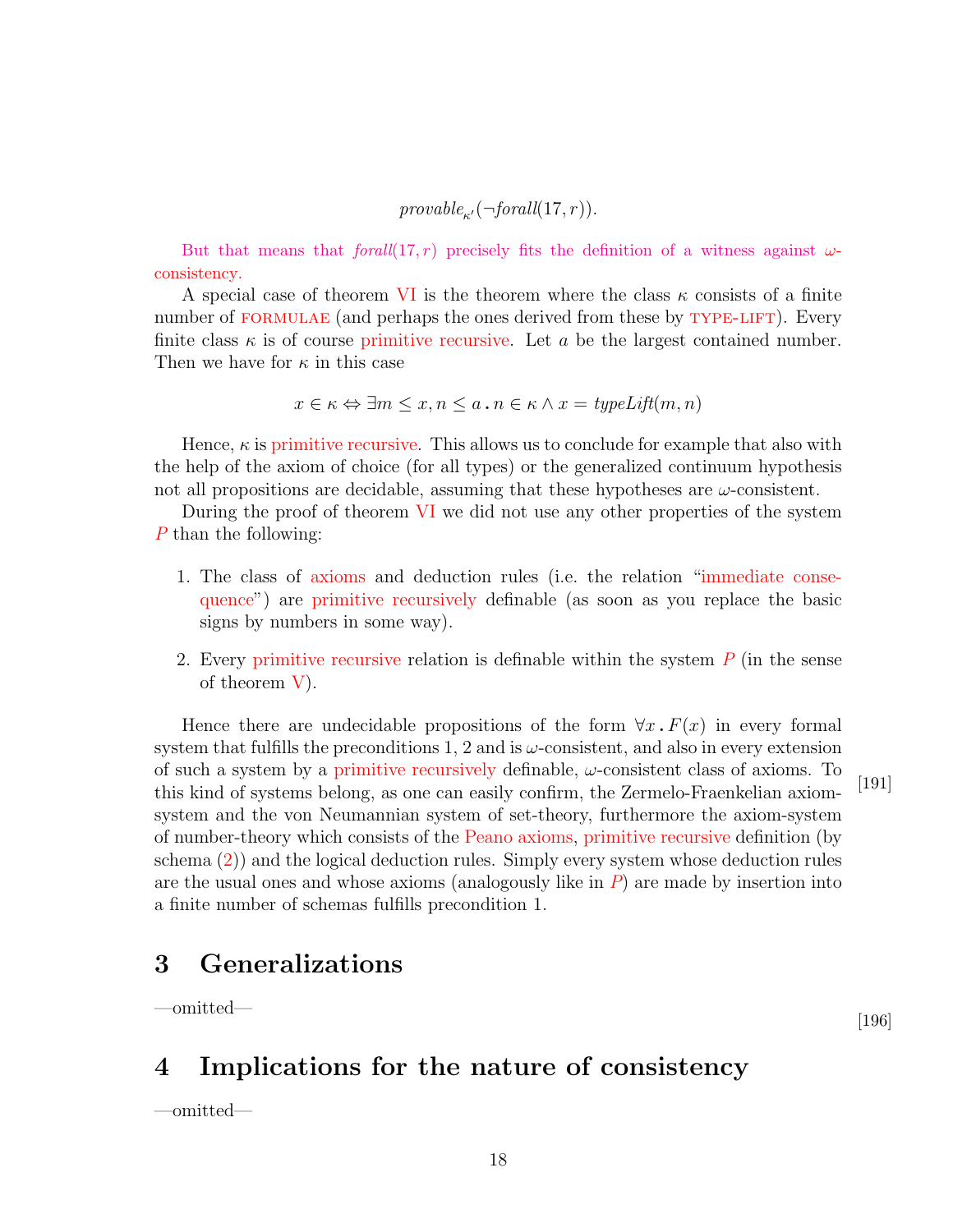$provable_{\kappa'}(\neg for all (17, r)).$ 

But that means that  $f\text{orall}(17, r)$  precisely fits the definition of a witness against  $\omega$ [consistency.](#page-13-4)

A special case of theorem [VI](#page-13-5) is the theorem where the class  $\kappa$  consists of a finite number of FORMULAE (and perhaps the ones derived from these by TYPE-LIFT). Every finite class  $\kappa$  is of course [primitive recursive](#page-6-2). Let a be the largest contained number. Then we have for  $\kappa$  in this case

$$
x \in \kappa \Leftrightarrow \exists m \le x, n \le a \cdot n \in \kappa \land x = \text{typeLift}(m, n)
$$

Hence,  $\kappa$  is [primitive recursive](#page-6-2). This allows us to conclude for example that also with the help of the axiom of choice (for all types) or the generalized continuum hypothesis not all propositions are decidable, assuming that these hypotheses are  $\omega$ -consistent.

During the proof of theorem [VI](#page-13-5) we did not use any other properties of the system [P](#page-3-2) than the following:

- 1. The class of [axiom](#page-4-2)s and deduction rules (i.e. the relation"[immediate conse](#page-5-1)[quence](#page-5-1)") are [primitive recursive](#page-6-2)ly definable (as soon as you replace the basic signs by numbers in some way).
- 2. Every [primitive recursive](#page-6-2) relation is definable within the system  $P$  (in the sense of theorem [V](#page-12-4)).

Hence there are undecidable propositions of the form  $\forall x \cdot F(x)$  in every formal system that fulfills the preconditions 1, 2 and is  $\omega$ -consistent, and also in every extension of such a system by a [primitive recursivel](#page-6-2)y definable,  $\omega$ -consistent class of axioms. To [191] this kind of systems belong, as one can easily confirm, the Zermelo-Fraenkelian axiomsystem and the von Neumannian system of set-theory, furthermore the axiom-system of number-theory which consists of the [Peano axioms](#page-4-3), [primitive recursive](#page-6-2) definition (by schema([2](#page-6-3))) and the logical deduction rules. Simply every system whose deduction rules are the usual ones and whose axioms (analogously like in  $P$ ) are made by insertion into a finite number of schemas fulfills precondition 1.

### 3 Generalizations

 $\text{J}$  =  $\text{O}$  =  $\text{O}$  =  $\text{O}$  =  $\text{O}$  =  $\text{O}$  =  $\text{O}$  =  $\text{O}$  =  $\text{O}$  =  $\text{O}$  =  $\text{O}$  =  $\text{O}$  =  $\text{O}$  =  $\text{O}$  =  $\text{O}$  =  $\text{O}$  =  $\text{O}$  =  $\text{O}$  =  $\text{O}$  =  $\text{O}$  =  $\text{O}$  =  $\text{O}$  =

### <span id="page-17-2"></span>4 Implications for the nature of consistency

—omitted—

<span id="page-17-0"></span>

<span id="page-17-1"></span>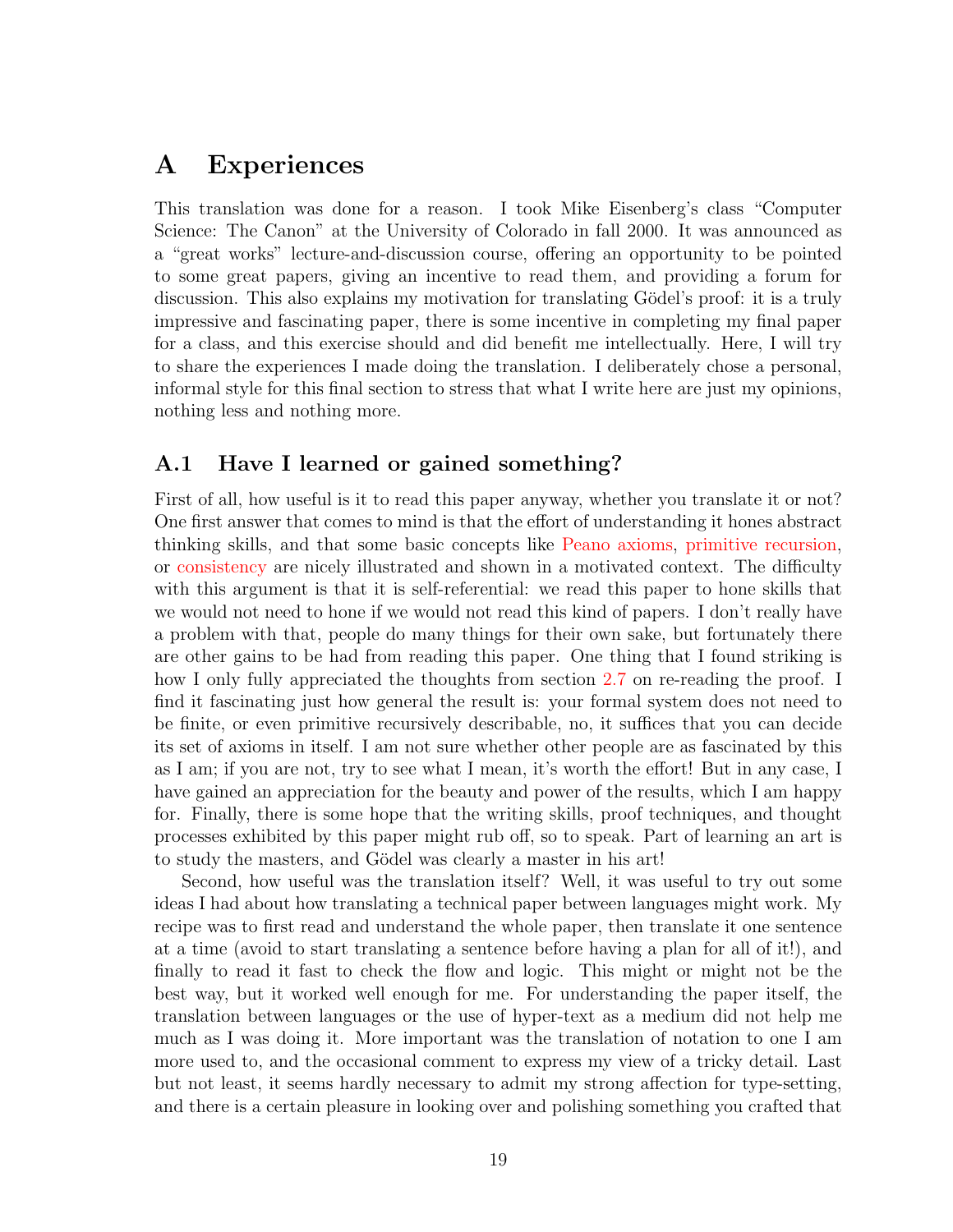### A Experiences

This translation was done for a reason. I took Mike Eisenberg's class "Computer Science: The Canon" at the University of Colorado in fall 2000. It was announced as a "great works" lecture-and-discussion course, offering an opportunity to be pointed to some great papers, giving an incentive to read them, and providing a forum for discussion. This also explains my motivation for translating Gödel's proof: it is a truly impressive and fascinating paper, there is some incentive in completing my final paper for a class, and this exercise should and did benefit me intellectually. Here, I will try to share the experiences I made doing the translation. I deliberately chose a personal, informal style for this final section to stress that what I write here are just my opinions, nothing less and nothing more.

### A.1 Have I learned or gained something?

First of all, how useful is it to read this paper anyway, whether you translate it or not? One first answer that comes to mind is that the effort of understanding it hones abstract thinking skills, and that some basic concepts like [Peano axioms](#page-4-3), [primitive recursion,](#page-6-1) or [consistency](#page-13-6) are nicely illustrated and shown in a motivated context. The difficulty with this argument is that it is self-referential: we read this paper to hone skills that we would not need to hone if we would not read this kind of papers. I don't really have a problem with that, people do many things for their own sake, but fortunately there are other gains to be had from reading this paper. One thing that I found striking is how I only fully appreciated the thoughts from section [2.7](#page-16-2) on re-reading the proof. I find it fascinating just how general the result is: your formal system does not need to be finite, or even primitive recursively describable, no, it suffices that you can decide its set of axioms in itself. I am not sure whether other people are as fascinated by this as I am; if you are not, try to see what I mean, it's worth the effort! But in any case, I have gained an appreciation for the beauty and power of the results, which I am happy for. Finally, there is some hope that the writing skills, proof techniques, and thought processes exhibited by this paper might rub off, so to speak. Part of learning an art is to study the masters, and Gödel was clearly a master in his art!

Second, how useful was the translation itself? Well, it was useful to try out some ideas I had about how translating a technical paper between languages might work. My recipe was to first read and understand the whole paper, then translate it one sentence at a time (avoid to start translating a sentence before having a plan for all of it!), and finally to read it fast to check the flow and logic. This might or might not be the best way, but it worked well enough for me. For understanding the paper itself, the translation between languages or the use of hyper-text as a medium did not help me much as I was doing it. More important was the translation of notation to one I am more used to, and the occasional comment to express my view of a tricky detail. Last but not least, it seems hardly necessary to admit my strong affection for type-setting, and there is a certain pleasure in looking over and polishing something you crafted that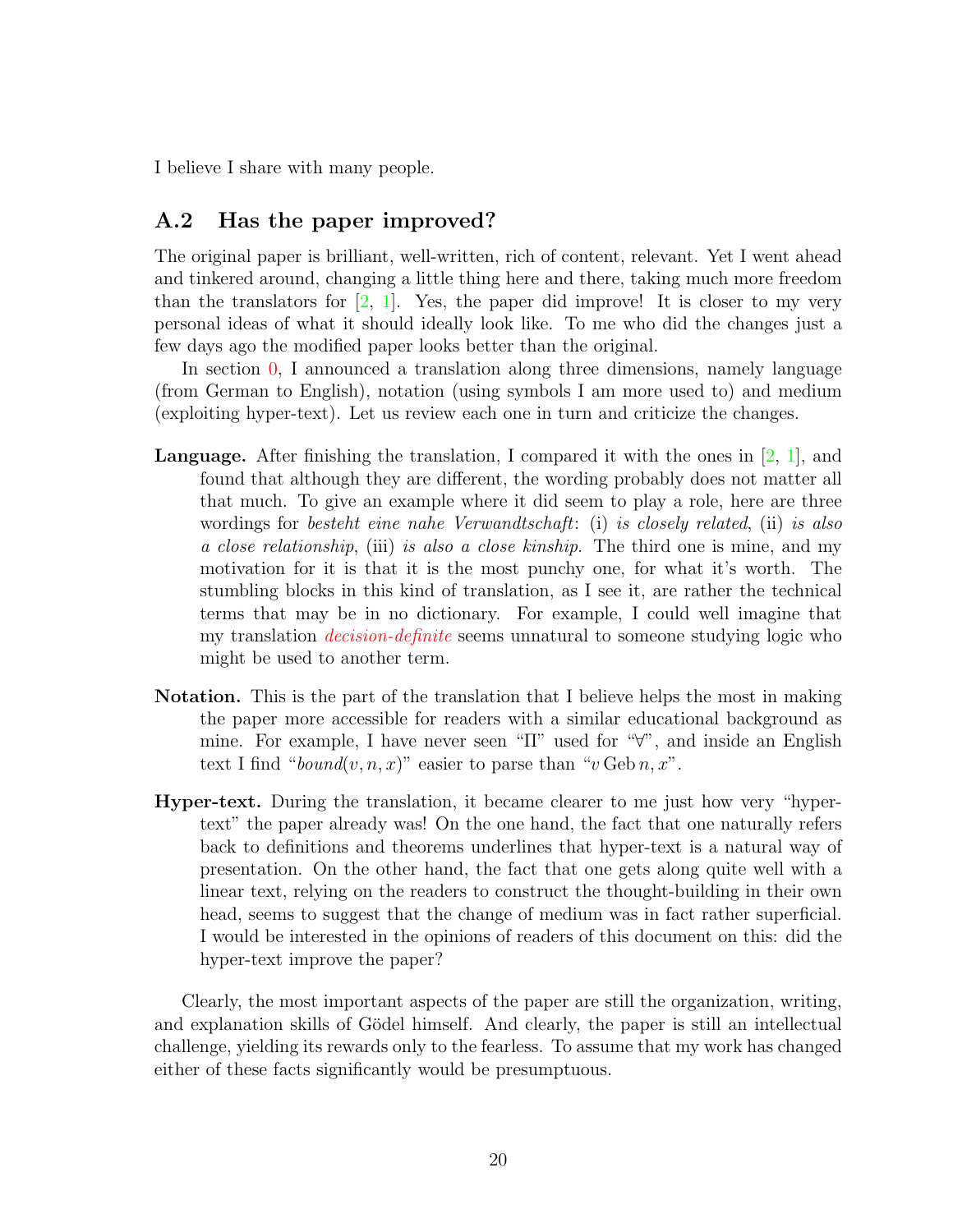I believe I share with many people.

#### A.2 Has the paper improved?

The original paper is brilliant, well-written, rich of content, relevant. Yet I went ahead and tinkered around, changing a little thing here and there, taking much more freedom than the translators for  $[2, 1]$  $[2, 1]$  $[2, 1]$ . Yes, the paper did improve! It is closer to my very personal ideas of what it should ideally look like. To me who did the changes just a few days ago the modified paper looks better than the original.

In section  $0$ , I announced a translation along three dimensions, namely language (from German to English), notation (using symbols I am more used to) and medium (exploiting hyper-text). Let us review each one in turn and criticize the changes.

- **Language.** After finishing the translation, I compared it with the ones in  $[2, 1]$  $[2, 1]$  $[2, 1]$ , and found that although they are different, the wording probably does not matter all that much. To give an example where it did seem to play a role, here are three wordings for besteht eine nahe Verwandtschaft: (i) is closely related, (ii) is also a close relationship, (iii) is also a close kinship. The third one is mine, and my motivation for it is that it is the most punchy one, for what it's worth. The stumbling blocks in this kind of translation, as I see it, are rather the technical terms that may be in no dictionary. For example, I could well imagine that my translation *[decision-definite](#page-16-1)* seems unnatural to some one studying logic who might be used to another term.
- Notation. This is the part of the translation that I believe helps the most in making the paper more accessible for readers with a similar educational background as mine. For example, I have never seen "Π" used for " $\forall$ ", and inside an English text I find "bound $(v, n, x)$ " easier to parse than "v Geb n, x".
- Hyper-text. During the translation, it became clearer to me just how very "hypertext" the paper already was! On the one hand, the fact that one naturally refers back to definitions and theorems underlines that hyper-text is a natural way of presentation. On the other hand, the fact that one gets along quite well with a linear text, relying on the readers to construct the thought-building in their own head, seems to suggest that the change of medium was in fact rather superficial. I would be interested in the opinions of readers of this document on this: did the hyper-text improve the paper?

Clearly, the most important aspects of the paper are still the organization, writing, and explanation skills of Gödel himself. And clearly, the paper is still an intellectual challenge, yielding its rewards only to the fearless. To assume that my work has changed either of these facts significantly would be presumptuous.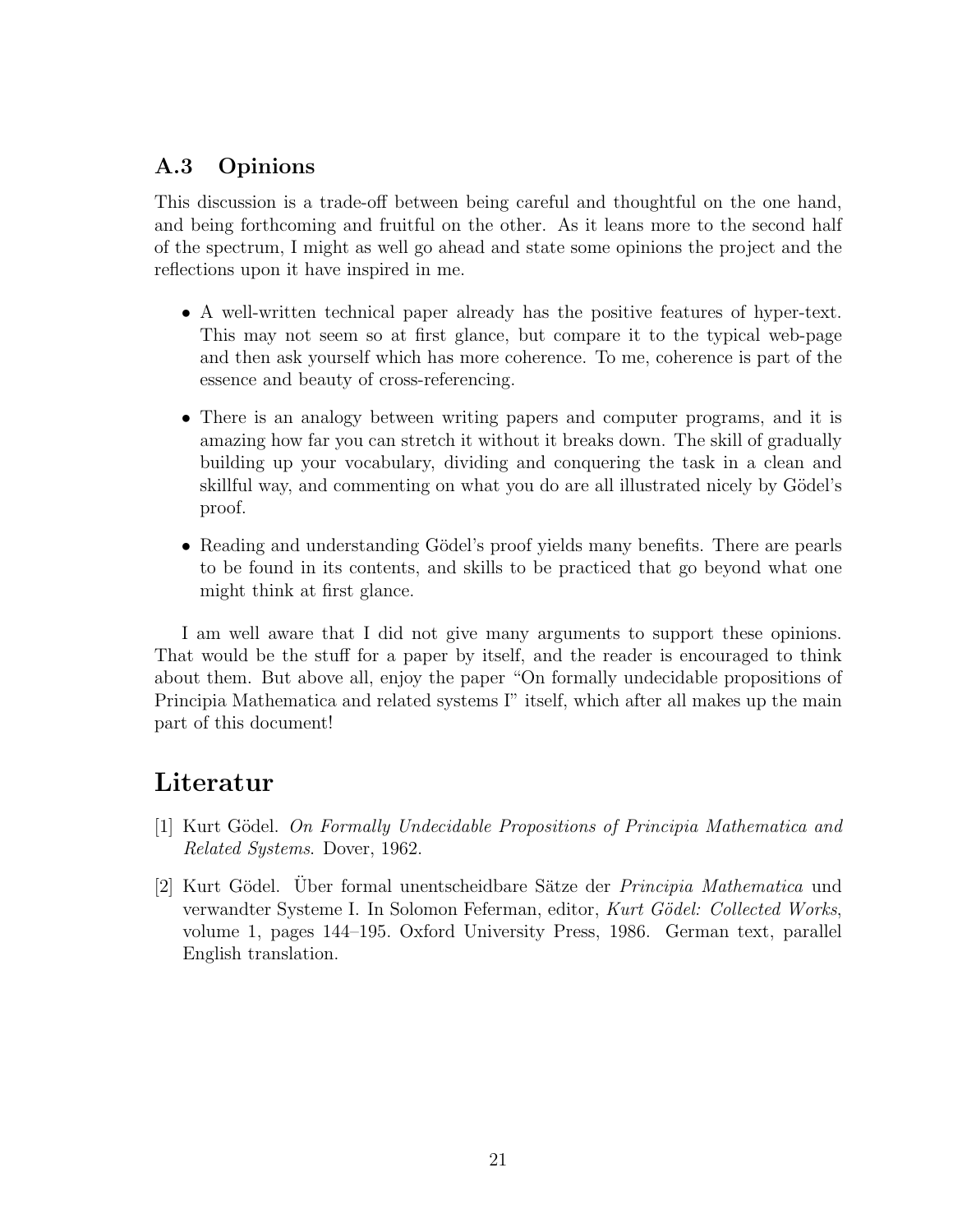### A.3 Opinions

This discussion is a trade-off between being careful and thoughtful on the one hand, and being forthcoming and fruitful on the other. As it leans more to the second half of the spectrum, I might as well go ahead and state some opinions the project and the reflections upon it have inspired in me.

- A well-written technical paper already has the positive features of hyper-text. This may not seem so at first glance, but compare it to the typical web-page and then ask yourself which has more coherence. To me, coherence is part of the essence and beauty of cross-referencing.
- There is an analogy between writing papers and computer programs, and it is amazing how far you can stretch it without it breaks down. The skill of gradually building up your vocabulary, dividing and conquering the task in a clean and skillful way, and commenting on what you do are all illustrated nicely by Gödel's proof.
- Reading and understanding Gödel's proof yields many benefits. There are pearls to be found in its contents, and skills to be practiced that go beyond what one might think at first glance.

I am well aware that I did not give many arguments to support these opinions. That would be the stuff for a paper by itself, and the reader is encouraged to think about them. But above all, enjoy the paper "On formally undecidable propositions of Principia Mathematica and related systems I" itself, which after all makes up the main part of this document!

# Literatur

- <span id="page-20-1"></span>[1] Kurt Gödel. On Formally Undecidable Propositions of Principia Mathematica and Related Systems. Dover, 1962.
- <span id="page-20-0"></span>[2] Kurt Gödel. Uber formal unentscheidbare Sätze der *Principia Mathematica* und verwandter Systeme I. In Solomon Feferman, editor, Kurt Gödel: Collected Works, volume 1, pages 144–195. Oxford University Press, 1986. German text, parallel English translation.